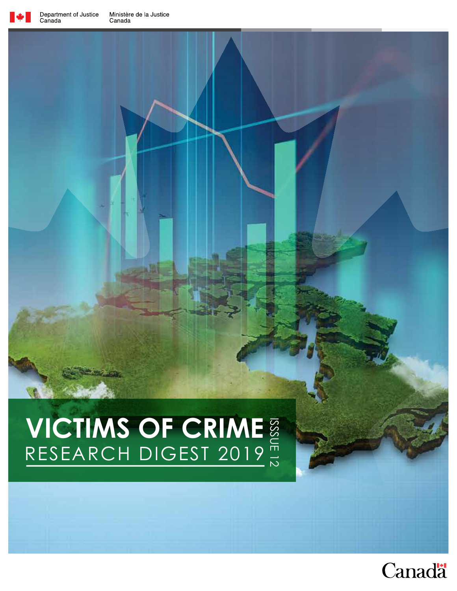

# **VICTIMS OF CRIME**  ISSSUE 12 RESEARCH DIGEST 2019

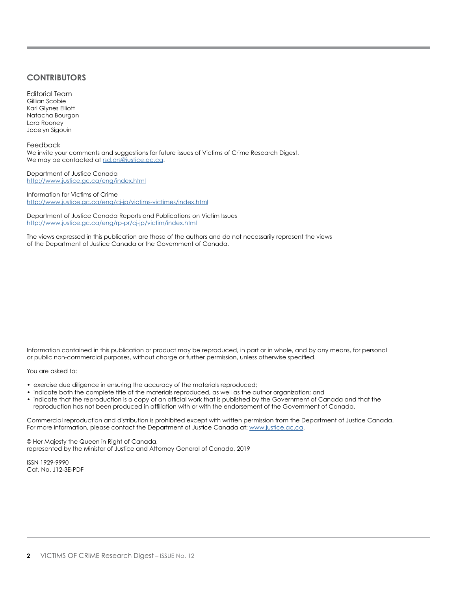#### **CONTRIBUTORS**

Editorial Team Gillian Scobie Kari Glynes Elliott Natacha Bourgon Lara Rooney Jocelyn Sigouin

Feedback We invite your comments and suggestions for future issues of Victims of Crime Research Digest. We may be contacted at [rsd.drs@justice.gc.ca.](mailto:rsd.drs%40justice.gc.ca?subject=)

Department of Justice Canada <http://www.justice.gc.ca/eng/index.html>

Information for Victims of Crime <http://www.justice.gc.ca/eng/cj-jp/victims-victimes/index.html>

Department of Justice Canada Reports and Publications on Victim Issues <http://www.justice.gc.ca/eng/rp-pr/cj-jp/victim/index.html>

The views expressed in this publication are those of the authors and do not necessarily represent the views of the Department of Justice Canada or the Government of Canada.

Information contained in this publication or product may be reproduced, in part or in whole, and by any means, for personal or public non-commercial purposes, without charge or further permission, unless otherwise specified.

You are asked to:

- exercise due diligence in ensuring the accuracy of the materials reproduced;
- indicate both the complete title of the materials reproduced, as well as the author organization; and
- indicate that the reproduction is a copy of an official work that is published by the Government of Canada and that the reproduction has not been produced in affiliation with or with the endorsement of the Government of Canada.

Commercial reproduction and distribution is prohibited except with written permission from the Department of Justice Canada. For more information, please contact the Department of Justice Canada at: [www.justice.gc.ca](http://www.justice.gc.ca).

© Her Majesty the Queen in Right of Canada, represented by the Minister of Justice and Attorney General of Canada, 2019

ISSN 1929-9990 Cat. No. J12-3E-PDF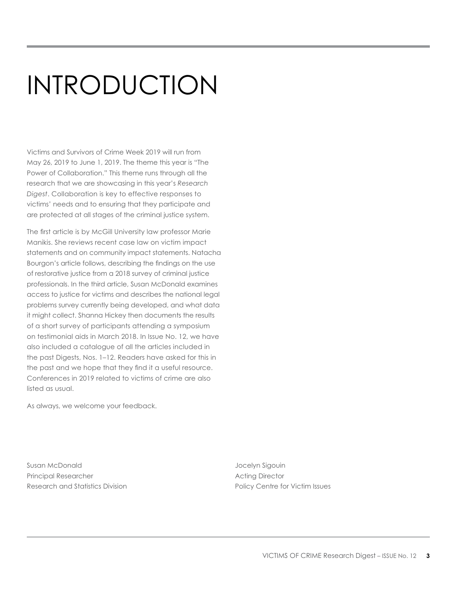# INTRODUCTION

Victims and Survivors of Crime Week 2019 will run from May 26, 2019 to June 1, 2019. The theme this year is "The Power of Collaboration." This theme runs through all the research that we are showcasing in this year's *Research Digest*. Collaboration is key to effective responses to victims' needs and to ensuring that they participate and are protected at all stages of the criminal justice system.

The first article is by McGill University law professor Marie Manikis. She reviews recent case law on victim impact statements and on community impact statements. Natacha Bourgon's article follows, describing the findings on the use of restorative justice from a 2018 survey of criminal justice professionals. In the third article, Susan McDonald examines access to justice for victims and describes the national legal problems survey currently being developed, and what data it might collect. Shanna Hickey then documents the results of a short survey of participants attending a symposium on testimonial aids in March 2018. In Issue No. 12, we have also included a catalogue of all the articles included in the past Digests, Nos. 1–12. Readers have asked for this in the past and we hope that they find it a useful resource. Conferences in 2019 related to victims of crime are also listed as usual.

As always, we welcome your feedback.

Susan McDonald and Susan McDonald Jocelyn Sigouin Principal Researcher **Acting Director** Acting Director Research and Statistics Division **Policy Centre for Victim Issues** Policy Centre for Victim Issues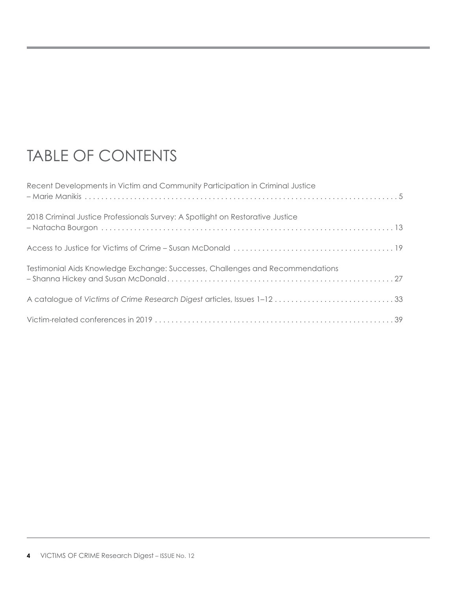# TABLE OF CONTENTS

| Recent Developments in Victim and Community Participation in Criminal Justice  |  |
|--------------------------------------------------------------------------------|--|
| 2018 Criminal Justice Professionals Survey: A Spotlight on Restorative Justice |  |
|                                                                                |  |
| Testimonial Aids Knowledge Exchange: Successes, Challenges and Recommendations |  |
|                                                                                |  |
|                                                                                |  |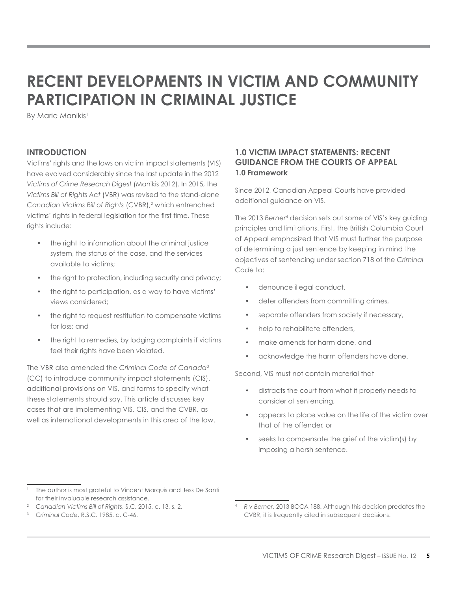# **RECENT DEVELOPMENTS IN VICTIM AND COMMUNITY PARTICIPATION IN CRIMINAL JUSTICE**

By Marie Manikis<sup>1</sup>

# **INTRODUCTION**

Victims' rights and the laws on victim impact statements (VIS) have evolved considerably since the last update in the 2012 *Victims of Crime Research Digest* (Manikis 2012). In 2015, the *Victims Bill of Rights Act* (VBR) was revised to the stand-alone Canadian Victims Bill of Rights (CVBR),<sup>2</sup> which entrenched victims' rights in federal legislation for the first time. These rights include:

- the right to information about the criminal justice system, the status of the case, and the services available to victims;
- the right to protection, including security and privacy;
- the right to participation, as a way to have victims' views considered;
- the right to request restitution to compensate victims for loss; and
- the right to remedies, by lodging complaints if victims feel their rights have been violated.

The VBR also amended the *Criminal Code of Canada*<sup>3</sup> (CC) to introduce community impact statements (CIS), additional provisions on VIS, and forms to specify what these statements should say. This article discusses key cases that are implementing VIS, CIS, and the CVBR, as well as international developments in this area of the law.

# **1.0 VICTIM IMPACT STATEMENTS: RECENT GUIDANCE FROM THE COURTS OF APPEAL 1.0 Framework**

Since 2012, Canadian Appeal Courts have provided additional guidance on VIS.

The 2013 *Berner*<sup>4</sup> decision sets out some of VIS's key guiding principles and limitations. First, the British Columbia Court of Appeal emphasized that VIS must further the purpose of determining a just sentence by keeping in mind the objectives of sentencing under section 718 of the *Criminal Code* to:

- denounce illegal conduct,
- deter offenders from committing crimes,
- separate offenders from society if necessary,
- help to rehabilitate offenders,
- make amends for harm done, and
- acknowledge the harm offenders have done.

Second, VIS must not contain material that

- distracts the court from what it properly needs to consider at sentencing,
- appears to place value on the life of the victim over that of the offender, or
- seeks to compensate the grief of the victim(s) by imposing a harsh sentence.

The author is most grateful to Vincent Marquis and Jess De Santi for their invaluable research assistance.

<sup>2</sup> *Canadian Victims Bill of Rights*, S.C. 2015, c. 13, s. 2.

<sup>3</sup> *Criminal Code*, R.S.C. 1985, c. C-46.

<sup>4</sup> *R v Berner*, 2013 BCCA 188. Although this decision predates the CVBR, it is frequently cited in subsequent decisions.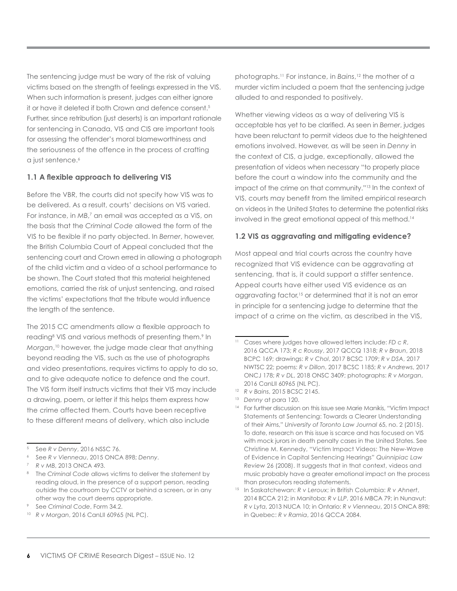The sentencing judge must be wary of the risk of valuing victims based on the strength of feelings expressed in the VIS. When such information is present, judges can either ignore it or have it deleted if both Crown and defence consent.<sup>5</sup> Further, since retribution (just deserts) is an important rationale for sentencing in Canada, VIS and CIS are important tools for assessing the offender's moral blameworthiness and the seriousness of the offence in the process of crafting a just sentence.<sup>6</sup>

#### **1.1 A flexible approach to delivering VIS**

Before the VBR, the courts did not specify how VIS was to be delivered. As a result, courts' decisions on VIS varied. For instance, in MB,<sup>7</sup> an email was accepted as a VIS, on the basis that the *Criminal Code* allowed the form of the VIS to be flexible if no party objected. In *Berner*, however, the British Columbia Court of Appeal concluded that the sentencing court and Crown erred in allowing a photograph of the child victim and a video of a school performance to be shown. The Court stated that this material heightened emotions, carried the risk of unjust sentencing, and raised the victims' expectations that the tribute would influence the length of the sentence.

The 2015 CC amendments allow a flexible approach to reading<sup>8</sup> VIS and various methods of presenting them.<sup>9</sup> In *Morgan*, 10 however, the judge made clear that anything beyond reading the VIS, such as the use of photographs and video presentations, requires victims to apply to do so, and to give adequate notice to defence and the court. The VIS form itself instructs victims that their VIS may include a drawing, poem, or letter if this helps them express how the crime affected them. Courts have been receptive to these different means of delivery, which also include

photographs.11 For instance, in *Bains*, 12 the mother of a murder victim included a poem that the sentencing judge alluded to and responded to positively.

Whether viewing videos as a way of delivering VIS is acceptable has yet to be clarified. As seen in *Berner*, judges have been reluctant to permit videos due to the heightened emotions involved. However, as will be seen in *Denny* in the context of CIS, a judge, exceptionally, allowed the presentation of videos when necessary "to properly place before the court a window into the community and the impact of the crime on that community."13 In the context of VIS, courts may benefit from the limited empirical research on videos in the United States to determine the potential risks involved in the great emotional appeal of this method.14

#### **1.2 VIS as aggravating and mitigating evidence?**

Most appeal and trial courts across the country have recognized that VIS evidence can be aggravating at sentencing, that is, it could support a stiffer sentence. Appeal courts have either used VIS evidence as an aggravating factor,<sup>15</sup> or determined that it is not an error in principle for a sentencing judge to determine that the impact of a crime on the victim, as described in the VIS,

<sup>5</sup> See *R v Denny*, 2016 NSSC 76.

<sup>6</sup> See *R v Vienneau*, 2015 ONCA 898; *Denny*.

<sup>7</sup> *R v MB*, 2013 ONCA 493.

<sup>&</sup>lt;sup>8</sup> The Criminal Code allows victims to deliver the statement by reading aloud, in the presence of a support person, reading outside the courtroom by CCTV or behind a screen, or in any other way the court deems appropriate.

<sup>9</sup> See *Criminal Code*, Form 34.2.

<sup>10</sup> *R v Morgan*, 2016 CanLII 60965 (NL PC).

<sup>11</sup> Cases where judges have allowed letters include: *FD c R*, 2016 QCCA 173; *R c Roussy*, 2017 QCCQ 1318; *R v Braun*, 2018 BCPC 169; drawings: *R v Chol*, 2017 BCSC 1709; *R v DSA*, 2017 NWTSC 22; poems: *R v Dillon*, 2017 BCSC 1185; *R v Andrews*, 2017 ONCJ 178; *R v DL*, 2018 ONSC 3409; photographs: *R v Morgan*, 2016 CanLII 60965 (NL PC).

<sup>12</sup> *R v Bains*, 2015 BCSC 2145.

<sup>13</sup> *Denny* at para 120.

<sup>&</sup>lt;sup>14</sup> For further discussion on this issue see Marie Manikis, "Victim Impact Statements at Sentencing: Towards a Clearer Understanding of their Aims," *University of Toronto Law Journal* 65, no. 2 (2015). To date, research on this issue is scarce and has focused on VIS with mock jurors in death penalty cases in the United States. See Christine M. Kennedy, "Victim Impact Videos: The New-Wave of Evidence in Capital Sentencing Hearings" *Quinnipiac Law Review* 26 (2008). It suggests that in that context, videos and music probably have a greater emotional impact on the process than prosecutors reading statements.

<sup>15</sup> In Saskatchewan: *R v Leroux*; in British Columbia: *R v Ahnert*, 2014 BCCA 212; in Manitoba: *R v LLP*, 2016 MBCA 79; in Nunavut: *R v Lyta*, 2013 NUCA 10; in Ontario: *R v Vienneau*, 2015 ONCA 898; in Quebec: *R v Ramia*, 2016 QCCA 2084.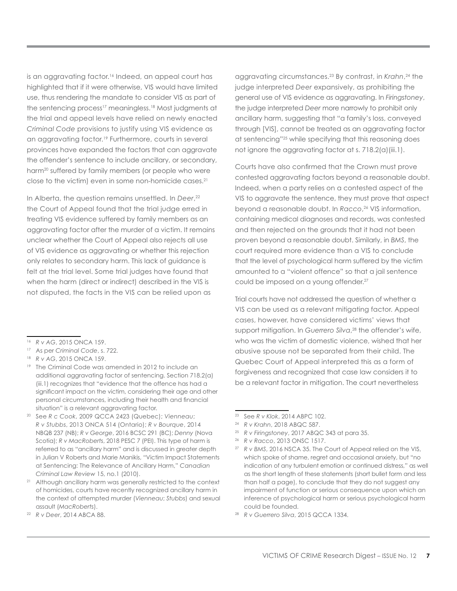is an aggravating factor.<sup>16</sup> Indeed, an appeal court has highlighted that if it were otherwise, VIS would have limited use, thus rendering the mandate to consider VIS as part of the sentencing process<sup>17</sup> meaningless.<sup>18</sup> Most judgments at the trial and appeal levels have relied on newly enacted *Criminal Code* provisions to justify using VIS evidence as an aggravating factor.<sup>19</sup> Furthermore, courts in several provinces have expanded the factors that can aggravate the offender's sentence to include ancillary, or secondary, harm<sup>20</sup> suffered by family members (or people who were close to the victim) even in some non-homicide cases.21

In Alberta, the question remains unsettled. In *Deer*, 22 the Court of Appeal found that the trial judge erred in treating VIS evidence suffered by family members as an aggravating factor after the murder of a victim. It remains unclear whether the Court of Appeal also rejects all use of VIS evidence as aggravating or whether this rejection only relates to secondary harm. This lack of guidance is felt at the trial level. Some trial judges have found that when the harm (direct or indirect) described in the VIS is not disputed, the facts in the VIS can be relied upon as

- <sup>19</sup> The Criminal Code was amended in 2012 to include an additional aggravating factor of sentencing. Section 718.2(a) (iii.1) recognizes that "evidence that the offence has had a significant impact on the victim, considering their age and other personal circumstances, including their health and financial situation" is a relevant aggravating factor.
- <sup>20</sup> See *R c Cook*, 2009 QCCA 2423 (Quebec); *Vienneau*; *R v Stubbs*, 2013 ONCA 514 (Ontario); *R v Bourque*, 2014 NBQB 237 (NB); *R v George*, 2016 BCSC 291 (BC); *Denny* (Nova Scotia); *R v MacRoberts*, 2018 PESC 7 (PEI). This type of harm is referred to as "ancillary harm" and is discussed in greater depth in Julian V Roberts and Marie Manikis, "Victim Impact Statements at Sentencing: The Relevance of Ancillary Harm," *Canadian Criminal Law Review* 15, no.1 (2010).
- <sup>21</sup> Although ancillary harm was generally restricted to the context of homicides, courts have recently recognized ancillary harm in the context of attempted murder (*Vienneau*; *Stubbs*) and sexual assault (*MacRoberts*).
- <sup>22</sup> *R v Deer*, 2014 ABCA 88.

aggravating circumstances.23 By contrast, in *Krahn*, 24 the judge interpreted *Deer* expansively, as prohibiting the general use of VIS evidence as aggravating. In *Firingstoney*, the judge interpreted *Deer* more narrowly to prohibit only ancillary harm, suggesting that "a family's loss, conveyed through [VIS], cannot be treated as an aggravating factor at sentencing"25 while specifying that this reasoning does not ignore the aggravating factor at s. 718.2(a)(iii.1).

Courts have also confirmed that the Crown must prove contested aggravating factors beyond a reasonable doubt. Indeed, when a party relies on a contested aspect of the VIS to aggravate the sentence, they must prove that aspect beyond a reasonable doubt. In *Racco*, 26 VIS information, containing medical diagnoses and records, was contested and then rejected on the grounds that it had not been proven beyond a reasonable doubt. Similarly, in *BMS*, the court required more evidence than a VIS to conclude that the level of psychological harm suffered by the victim amounted to a "violent offence" so that a jail sentence could be imposed on a young offender.27

Trial courts have not addressed the question of whether a VIS can be used as a relevant mitigating factor. Appeal cases, however, have considered victims' views that support mitigation. In *Guerrero Silva*, 28 the offender's wife, who was the victim of domestic violence, wished that her abusive spouse not be separated from their child. The Quebec Court of Appeal interpreted this as a form of forgiveness and recognized that case law considers it to be a relevant factor in mitigation. The court nevertheless

<sup>25</sup> *R v Firingstoney*, 2017 ABQC 343 at para 35.

<sup>28</sup> *R v Guerrero Silva*, 2015 QCCA 1334.

<sup>16</sup> *R v AG*, 2015 ONCA 159.

<sup>17</sup> As per *Criminal Code*, s. 722.

<sup>18</sup> *R v AG*, 2015 ONCA 159.

<sup>23</sup> See *R v Klok*, 2014 ABPC 102.

<sup>24</sup> *R v Krahn*, 2018 ABQC 587.

<sup>26</sup> *R v Racco*, 2013 ONSC 1517.

<sup>27</sup> *R v BMS*, 2016 NSCA 35. The Court of Appeal relied on the VIS, which spoke of shame, regret and occasional anxiety, but "no indication of any turbulent emotion or continued distress," as well as the short length of these statements (short bullet form and less than half a page), to conclude that they do not suggest any impairment of function or serious consequence upon which an inference of psychological harm or serious psychological harm could be founded.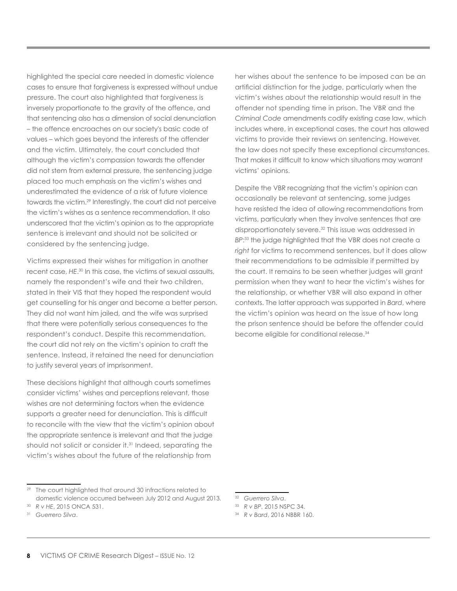highlighted the special care needed in domestic violence cases to ensure that forgiveness is expressed without undue pressure. The court also highlighted that forgiveness is inversely proportionate to the gravity of the offence, and that sentencing also has a dimension of social denunciation – the offence encroaches on our society's basic code of values – which goes beyond the interests of the offender and the victim. Ultimately, the court concluded that although the victim's compassion towards the offender did not stem from external pressure, the sentencing judge placed too much emphasis on the victim's wishes and underestimated the evidence of a risk of future violence towards the victim.29 Interestingly, the court did not perceive the victim's wishes as a sentence recommendation. It also underscored that the victim's opinion as to the appropriate sentence is irrelevant and should not be solicited or considered by the sentencing judge.

Victims expressed their wishes for mitigation in another recent case, *HE*. 30 In this case, the victims of sexual assaults, namely the respondent's wife and their two children, stated in their VIS that they hoped the respondent would get counselling for his anger and become a better person. They did not want him jailed, and the wife was surprised that there were potentially serious consequences to the respondent's conduct. Despite this recommendation, the court did not rely on the victim's opinion to craft the sentence. Instead, it retained the need for denunciation to justify several years of imprisonment.

These decisions highlight that although courts sometimes consider victims' wishes and perceptions relevant, those wishes are not determining factors when the evidence supports a greater need for denunciation. This is difficult to reconcile with the view that the victim's opinion about the appropriate sentence is irrelevant and that the judge should not solicit or consider it.<sup>31</sup> Indeed, separating the victim's wishes about the future of the relationship from

<sup>29</sup> The court highlighted that around 30 infractions related to domestic violence occurred between July 2012 and August 2013. her wishes about the sentence to be imposed can be an artificial distinction for the judge, particularly when the victim's wishes about the relationship would result in the offender not spending time in prison. The VBR and the *Criminal Code* amendments codify existing case law, which includes where, in exceptional cases, the court has allowed victims to provide their reviews on sentencing. However, the law does not specify these exceptional circumstances. That makes it difficult to know which situations may warrant victims' opinions.

Despite the VBR recognizing that the victim's opinion can occasionally be relevant at sentencing, some judges have resisted the idea of allowing recommendations from victims, particularly when they involve sentences that are disproportionately severe.32 This issue was addressed in *BP*: 33 the judge highlighted that the VBR does not create a *right* for victims to recommend sentences, but it does allow their recommendations to be admissible if permitted by the court. It remains to be seen whether judges will grant permission when they want to hear the victim's wishes for the relationship, or whether VBR will also expand in other contexts. The latter approach was supported in *Bard*, where the victim's opinion was heard on the issue of how long the prison sentence should be before the offender could become eligible for conditional release.34

<sup>34</sup> *R v Bard*, 2016 NBBR 160.

<sup>30</sup> *R v HE*, 2015 ONCA 531.

<sup>31</sup> *Guerrero Silva*.

<sup>32</sup> *Guerrero Silva*.

<sup>33</sup> *R v BP*, 2015 NSPC 34.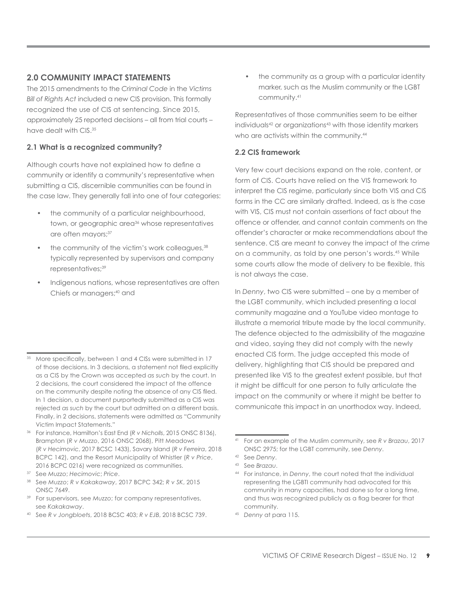# **2.0 COMMUNITY IMPACT STATEMENTS**

The 2015 amendments to the *Criminal Code* in the *Victims Bill of Rights Act* included a new CIS provision. This formally recognized the use of CIS at sentencing. Since 2015, approximately 25 reported decisions – all from trial courts – have dealt with CIS.35

# **2.1 What is a recognized community?**

Although courts have not explained how to define a community or identify a community's representative when submitting a CIS, discernible communities can be found in the case law. They generally fall into one of four categories:

- the community of a particular neighbourhood, town, or geographic area<sup>36</sup> whose representatives are often mayors;<sup>37</sup>
- the community of the victim's work colleagues,<sup>38</sup> typically represented by supervisors and company representatives;<sup>39</sup>
- Indigenous nations, whose representatives are often Chiefs or managers;<sup>40</sup> and

<sup>36</sup> For instance, Hamilton's East End (*R v Nicholls*, 2015 ONSC 8136), Brampton (*R v Muzzo*, 2016 ONSC 2068), Pitt Meadows (*R v Hecimovic*, 2017 BCSC 1433), Savary Island (*R v Ferreira*, 2018 BCPC 142), and the Resort Municipality of Whistler (*R v Price*, 2016 BCPC 0216) were recognized as communities.

<sup>40</sup> See *R v Jongbloets*, 2018 BCSC 403; *R v EJB*, 2018 BCSC 739.

• the community as a group with a particular identity marker, such as the Muslim community or the LGBT community.41

Representatives of those communities seem to be either individuals<sup>42</sup> or organizations<sup>43</sup> with those identity markers who are activists within the community.<sup>44</sup>

# **2.2 CIS framework**

Very few court decisions expand on the role, content, or form of CIS. Courts have relied on the VIS framework to interpret the CIS regime, particularly since both VIS and CIS forms in the CC are similarly drafted. Indeed, as is the case with VIS, CIS must not contain assertions of fact about the offence or offender, and cannot contain comments on the offender's character or make recommendations about the sentence. CIS are meant to convey the impact of the crime on a community, as told by one person's words.45 While some courts allow the mode of delivery to be flexible, this is not always the case.

In *Denny*, two CIS were submitted – one by a member of the LGBT community, which included presenting a local community magazine and a YouTube video montage to illustrate a memorial tribute made by the local community. The defence objected to the admissibility of the magazine and video, saying they did not comply with the newly enacted CIS form. The judge accepted this mode of delivery, highlighting that CIS should be prepared and presented like VIS to the greatest extent possible, but that it might be difficult for one person to fully articulate the impact on the community or where it might be better to communicate this impact in an unorthodox way. Indeed,

<sup>45</sup> *Denny* at para 115.

<sup>&</sup>lt;sup>35</sup> More specifically, between 1 and 4 CISs were submitted in 17 of those decisions. In 3 decisions, a statement not filed explicitly as a CIS by the Crown was accepted *as such* by the court. In 2 decisions, the court considered the impact of the offence on the community despite noting the absence of any CIS filed. In 1 decision, a document purportedly submitted as a CIS was rejected *as such* by the court but admitted on a different basis. Finally, in 2 decisions, statements were admitted as "Community Victim Impact Statements."

<sup>37</sup> See *Muzzo*; *Hecimovic*; *Price*.

<sup>38</sup> See *Muzzo*; *R v Kakakaway*, 2017 BCPC 342; *R v SK*, 2015 ONSC 7649.

<sup>39</sup> For supervisors, see *Muzzo*; for company representatives, see *Kakakaway*.

<sup>41</sup> For an example of the Muslim community, see *R v Brazau*, 2017 ONSC 2975; for the LGBT community, see *Denny*.

<sup>42</sup> See *Denny*.

<sup>43</sup> See *Brazau*.

<sup>44</sup> For instance, in *Denny*, the court noted that the individual representing the LGBTI community had advocated for this community in many capacities, had done so for a long time, and thus was recognized publicly as a flag bearer for that community.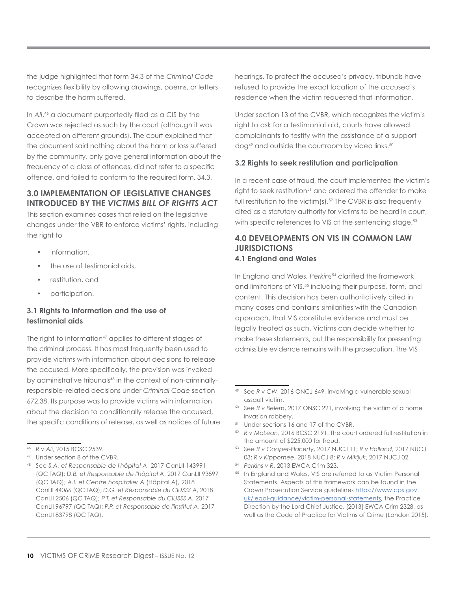the judge highlighted that form 34.3 of the *Criminal Code* recognizes flexibility by allowing drawings, poems, or letters to describe the harm suffered.

In *Ali*, 46 a document purportedly filed as a CIS by the Crown was rejected as such by the court (although it was accepted on different grounds). The court explained that the document said nothing about the harm or loss suffered by the community, only gave general information about the frequency of a class of offences, did not refer to a specific offence, and failed to conform to the required form, 34.3.

# **3.0 IMPLEMENTATION OF LEGISLATIVE CHANGES INTRODUCED BY THE** *VICTIMS BILL OF RIGHTS ACT*

This section examines cases that relied on the legislative changes under the VBR to enforce victims' rights, including the right to

- information,
- the use of testimonial aids,
- restitution, and
- participation.

# **3.1 Rights to information and the use of testimonial aids**

The right to information<sup>47</sup> applies to different stages of the criminal process. It has most frequently been used to provide victims with information about decisions to release the accused. More specifically, the provision was invoked by administrative tribunals<sup>48</sup> in the context of non-criminallyresponsible–related decisions under *Criminal Code* section 672.38. Its purpose was to provide victims with information about the decision to conditionally release the accused, the specific conditions of release, as well as notices of future hearings. To protect the accused's privacy, tribunals have refused to provide the exact location of the accused's residence when the victim requested that information.

Under section 13 of the CVBR, which recognizes the victim's right to ask for a testimonial aid, courts have allowed complainants to testify with the assistance of a support dog<sup>49</sup> and outside the courtroom by video links.<sup>50</sup>

#### **3.2 Rights to seek restitution and participation**

In a recent case of fraud, the court implemented the victim's right to seek restitution<sup>51</sup> and ordered the offender to make full restitution to the victim(s).<sup>52</sup> The CVBR is also frequently cited as a statutory authority for victims to be heard in court, with specific references to VIS at the sentencing stage.<sup>53</sup>

## **4.0 DEVELOPMENTS ON VIS IN COMMON LAW JURISDICTIONS 4.1 England and Wales**

In England and Wales, Perkins<sup>54</sup> clarified the framework and limitations of VIS,<sup>55</sup> including their purpose, form, and content. This decision has been authoritatively cited in many cases and contains similarities with the Canadian approach, that VIS constitute evidence and must be legally treated as such. Victims can decide whether to make these statements, but the responsibility for presenting admissible evidence remains with the prosecution. The VIS

<sup>46</sup> *R v Ali*, 2015 BCSC 2539.

<sup>47</sup> Under section 8 of the CVBR.

<sup>48</sup> See *S.A. et Responsable de l'hôpital A*, 2017 CanLII 143991 (QC TAQ); *D.B. et Responsable de l'hôpital A*, 2017 CanLII 93597 (QC TAQ); *A.I. et Centre hospitalier A* (Hôpital A), 2018 CanLII 44066 (QC TAQ); *D.G. et Responsable du CIUSSS A*, 2018 CanLII 2506 (QC TAQ); *P.T. et Responsable du CIUSSS A*, 2017 CanLII 96797 (QC TAQ); *P.P. et Responsable de l'institut A*, 2017 CanLII 83798 (QC TAQ).

<sup>49</sup> See *R v CW*, 2016 ONCJ 649, involving a vulnerable sexual assault victim.

<sup>50</sup> See *R v Belem*, 2017 ONSC 221, involving the victim of a home invasion robbery.

<sup>51</sup> Under sections 16 and 17 of the CVBR.

<sup>52</sup> *R v McLean*, 2016 BCSC 2191. The court ordered full restitution in the amount of \$225,000 for fraud.

<sup>53</sup> See *R v Cooper-Flaherty*, 2017 NUCJ 11; *R v Holland*, 2017 NUCJ 03; *R v Kippomee*, 2018 NUCJ 8; *R v Mikijuk*, 2017 NUCJ 02.

<sup>54</sup> *Perkins v R*, 2013 EWCA Crim 323.

<sup>&</sup>lt;sup>55</sup> In England and Wales, VIS are referred to as Victim Personal Statements. Aspects of this framework can be found in the Crown Prosecution Service guidelines [https://www.cps.gov.](https://www.cps.gov.uk/legal-guidance/victim-personal-statements) [uk/legal-guidance/victim-personal-statements,](https://www.cps.gov.uk/legal-guidance/victim-personal-statements) the Practice Direction by the Lord Chief Justice, [2013] EWCA Crim 2328, as well as the Code of Practice for Victims of Crime (London 2015).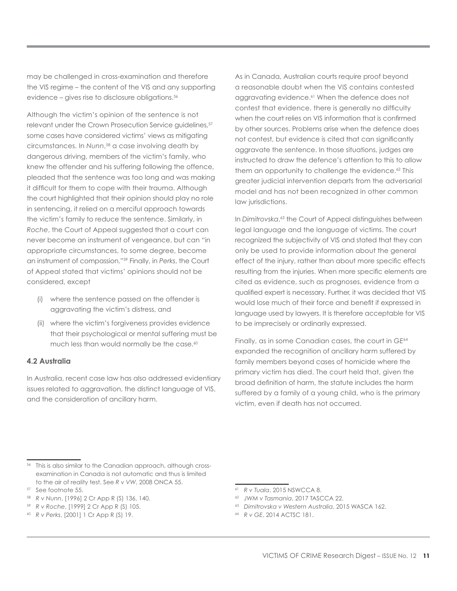may be challenged in cross-examination and therefore the VIS regime – the content of the VIS and any supporting evidence – gives rise to disclosure obligations.<sup>56</sup>

Although the victim's opinion of the sentence is not relevant under the Crown Prosecution Service guidelines,<sup>57</sup> some cases have considered victims' views as mitigating circumstances. In *Nunn*, 58 a case involving death by dangerous driving, members of the victim's family, who knew the offender and his suffering following the offence, pleaded that the sentence was too long and was making it difficult for them to cope with their trauma. Although the court highlighted that their opinion should play no role in sentencing, it relied on a merciful approach towards the victim's family to reduce the sentence. Similarly, in *Roche*, the Court of Appeal suggested that a court can never become an instrument of vengeance, but can "in appropriate circumstances, to some degree, become an instrument of compassion."59 Finally, in *Perks*, the Court of Appeal stated that victims' opinions should not be considered, except

- (i) where the sentence passed on the offender is aggravating the victim's distress, and
- (ii) where the victim's forgiveness provides evidence that their psychological or mental suffering must be much less than would normally be the case.<sup>60</sup>

#### **4.2 Australia**

In Australia, recent case law has also addressed evidentiary issues related to aggravation, the distinct language of VIS, and the consideration of ancillary harm.

As in Canada, Australian courts require proof beyond a reasonable doubt when the VIS contains contested aggravating evidence.<sup>61</sup> When the defence does not contest that evidence, there is generally no difficulty when the court relies on VIS information that is confirmed by other sources. Problems arise when the defence does not contest, but evidence is cited that can significantly aggravate the sentence. In those situations, judges are instructed to draw the defence's attention to this to allow them an opportunity to challenge the evidence.<sup>62</sup> This greater judicial intervention departs from the adversarial model and has not been recognized in other common law jurisdictions.

In *Dimitrovska*, 63 the Court of Appeal distinguishes between legal language and the language of victims. The court recognized the subjectivity of VIS and stated that they can only be used to provide information about the general effect of the injury, rather than about more specific effects resulting from the injuries. When more specific elements are cited as evidence, such as prognoses, evidence from a qualified expert is necessary. Further, it was decided that VIS would lose much of their force and benefit if expressed in language used by lawyers. It is therefore acceptable for VIS to be imprecisely or ordinarily expressed.

Finally, as in some Canadian cases, the court in *GE*<sup>64</sup> expanded the recognition of ancillary harm suffered by family members beyond cases of homicide where the primary victim has died. The court held that, given the broad definition of harm, the statute includes the harm suffered by a family of a young child, who is the primary victim, even if death has not occurred.

<sup>56</sup> This is also similar to the Canadian approach, although crossexamination in Canada is not automatic and thus is limited to the air of reality test. See *R v VW*, 2008 ONCA 55.

<sup>57</sup> See footnote 55.

<sup>58</sup> *R v Nunn*, [1996] 2 Cr App R (S) 136, 140.

<sup>59</sup> *R v Roche*, [1999] 2 Cr App R (S) 105.

<sup>60</sup> *R v Perks*, [2001] 1 Cr App R (S) 19.

<sup>61</sup> *R v Tuala*, 2015 NSWCCA 8.

<sup>62</sup> *JWM v Tasmania*, 2017 TASCCA 22.

<sup>63</sup> *Dimitrovska v Western Australia*, 2015 WASCA 162.

<sup>64</sup> *R v GE*, 2014 ACTSC 181.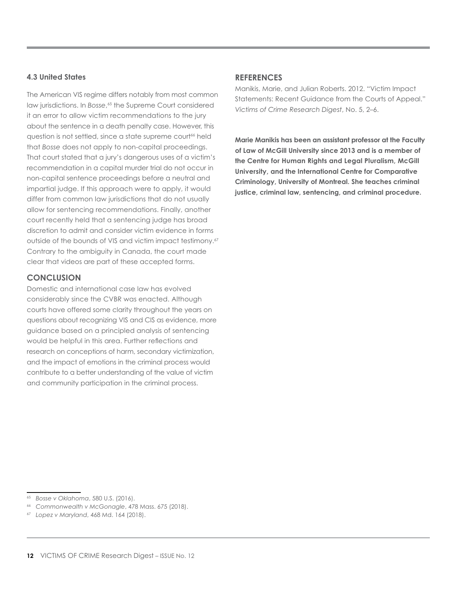#### **4.3 United States**

The American VIS regime differs notably from most common law jurisdictions. In *Bosse*, 65 the Supreme Court considered it an error to allow victim recommendations to the jury about the sentence in a death penalty case. However, this question is not settled, since a state supreme court<sup>66</sup> held that *Bosse* does not apply to non-capital proceedings. That court stated that a jury's dangerous uses of a victim's recommendation in a capital murder trial do not occur in non-capital sentence proceedings before a neutral and impartial judge. If this approach were to apply, it would differ from common law jurisdictions that do not usually allow for sentencing recommendations. Finally, another court recently held that a sentencing judge has broad discretion to admit and consider victim evidence in forms outside of the bounds of VIS and victim impact testimony.<sup>67</sup> Contrary to the ambiguity in Canada, the court made clear that videos are part of these accepted forms.

#### **CONCLUSION**

Domestic and international case law has evolved considerably since the CVBR was enacted. Although courts have offered some clarity throughout the years on questions about recognizing VIS and CIS as evidence, more guidance based on a principled analysis of sentencing would be helpful in this area. Further reflections and research on conceptions of harm, secondary victimization, and the impact of emotions in the criminal process would contribute to a better understanding of the value of victim and community participation in the criminal process.

#### **REFERENCES**

Manikis, Marie, and Julian Roberts. 2012. "Victim Impact Statements: Recent Guidance from the Courts of Appeal." *Victims of Crime Research Digest*, No. 5, 2–6.

**Marie Manikis has been an assistant professor at the Faculty of Law of McGill University since 2013 and is a member of the Centre for Human Rights and Legal Pluralism, McGill University, and the International Centre for Comparative Criminology, University of Montreal. She teaches criminal justice, criminal law, sentencing, and criminal procedure.**

<sup>65</sup> *Bosse v Oklahoma*, 580 U.S. (2016).

<sup>66</sup> *Commonwealth v McGonagle*, 478 Mass. 675 (2018).

<sup>67</sup> *Lopez v Maryland*, 468 Md. 164 (2018).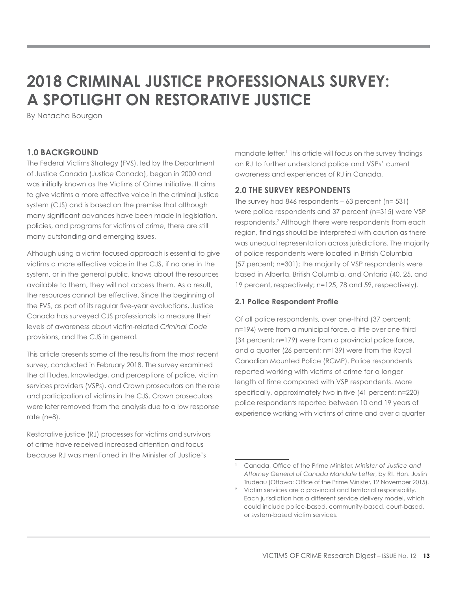# **2018 CRIMINAL JUSTICE PROFESSIONALS SURVEY: A SPOTLIGHT ON RESTORATIVE JUSTICE**

By Natacha Bourgon

# **1.0 BACKGROUND**

The Federal Victims Strategy (FVS), led by the Department of Justice Canada (Justice Canada), began in 2000 and was initially known as the Victims of Crime Initiative. It aims to give victims a more effective voice in the criminal justice system (CJS) and is based on the premise that although many significant advances have been made in legislation, policies, and programs for victims of crime, there are still many outstanding and emerging issues.

Although using a victim-focused approach is essential to give victims a more effective voice in the CJS, if no one in the system, or in the general public, knows about the resources available to them, they will not access them. As a result, the resources cannot be effective. Since the beginning of the FVS, as part of its regular five-year evaluations, Justice Canada has surveyed CJS professionals to measure their levels of awareness about victim-related *Criminal Code* provisions, and the CJS in general.

This article presents some of the results from the most recent survey, conducted in February 2018. The survey examined the attitudes, knowledge, and perceptions of police, victim services providers (VSPs), and Crown prosecutors on the role and participation of victims in the CJS. Crown prosecutors were later removed from the analysis due to a low response rate (n=8).

Restorative justice (RJ) processes for victims and survivors of crime have received increased attention and focus because RJ was mentioned in the Minister of Justice's

mandate letter.1 This article will focus on the survey findings on RJ to further understand police and VSPs' current awareness and experiences of RJ in Canada.

# **2.0 THE SURVEY RESPONDENTS**

The survey had 846 respondents – 63 percent (n= 531) were police respondents and 37 percent (n=315) were VSP respondents.2 Although there were respondents from each region, findings should be interpreted with caution as there was unequal representation across jurisdictions. The majority of police respondents were located in British Columbia (57 percent; n=301); the majority of VSP respondents were based in Alberta, British Columbia, and Ontario (40, 25, and 19 percent, respectively; n=125, 78 and 59, respectively).

# **2.1 Police Respondent Profile**

Of all police respondents, over one-third (37 percent; n=194) were from a municipal force, a little over one-third (34 percent; n=179) were from a provincial police force, and a quarter (26 percent; n=139) were from the Royal Canadian Mounted Police (RCMP). Police respondents reported working with victims of crime for a longer length of time compared with VSP respondents. More specifically, approximately two in five (41 percent; n=220) police respondents reported between 10 and 19 years of experience working with victims of crime and over a quarter

<sup>1</sup> Canada, Office of the Prime Minister, *Minister of Justice and Attorney General of Canada Mandate Letter*, by Rt. Hon. Justin Trudeau (Ottawa: Office of the Prime Minister, 12 November 2015).

<sup>2</sup> Victim services are a provincial and territorial responsibility. Each jurisdiction has a different service delivery model, which could include police-based, community-based, court-based, or system-based victim services.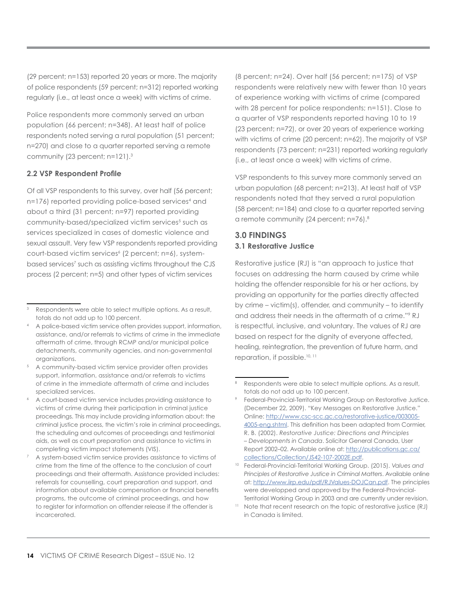(29 percent; n=153) reported 20 years or more. The majority of police respondents (59 percent; n=312) reported working regularly (i.e., at least once a week) with victims of crime.

Police respondents more commonly served an urban population (66 percent; n=348). At least half of police respondents noted serving a rural population (51 percent; n=270) and close to a quarter reported serving a remote community (23 percent; n=121).<sup>3</sup>

# **2.2 VSP Respondent Profile**

Of all VSP respondents to this survey, over half (56 percent; n=176) reported providing police-based services<sup>4</sup> and about a third (31 percent; n=97) reported providing community-based/specialized victim services<sup>5</sup> such as services specialized in cases of domestic violence and sexual assault. Very few VSP respondents reported providing court-based victim services<sup>6</sup> (2 percent; n=6), systembased services<sup>7</sup> such as assisting victims throughout the CJS process (2 percent; n=5) and other types of victim services

(8 percent; n=24). Over half (56 percent; n=175) of VSP respondents were relatively new with fewer than 10 years of experience working with victims of crime (compared with 28 percent for police respondents; n=151). Close to a quarter of VSP respondents reported having 10 to 19 (23 percent; n=72), or over 20 years of experience working with victims of crime (20 percent; n=62). The majority of VSP respondents (73 percent; n=231) reported working regularly (i.e., at least once a week) with victims of crime.

VSP respondents to this survey more commonly served an urban population (68 percent; n=213). At least half of VSP respondents noted that they served a rural population (58 percent; n=184) and close to a quarter reported serving a remote community (24 percent; n=76).8

# **3.0 FINDINGS 3.1 Restorative Justice**

Restorative justice (RJ) is "an approach to justice that focuses on addressing the harm caused by crime while holding the offender responsible for his or her actions, by providing an opportunity for the parties directly affected by crime – victim(s), offender, and community – to identify and address their needs in the aftermath of a crime."9 RJ is respectful, inclusive, and voluntary. The values of RJ are based on respect for the dignity of everyone affected, healing, reintegration, the prevention of future harm, and reparation, if possible.10, 11

Respondents were able to select multiple options. As a result, totals do not add up to 100 percent.

<sup>&</sup>lt;sup>4</sup> A police-based victim service often provides support, information, assistance, and/or referrals to victims of crime in the immediate aftermath of crime, through RCMP and/or municipal police detachments, community agencies, and non-governmental organizations.

<sup>5</sup> A community-based victim service provider often provides support, information, assistance and/or referrals to victims of crime in the immediate aftermath of crime and includes specialized services.

<sup>6</sup> A court-based victim service includes providing assistance to victims of crime during their participation in criminal justice proceedings. This may include providing information about: the criminal justice process, the victim's role in criminal proceedings, the scheduling and outcomes of proceedings and testimonial aids, as well as court preparation and assistance to victims in completing victim impact statements (VIS).

<sup>7</sup> A system-based victim service provides assistance to victims of crime from the time of the offence to the conclusion of court proceedings and their aftermath. Assistance provided includes: referrals for counselling, court preparation and support, and information about available compensation or financial benefits programs, the outcome of criminal proceedings, and how to register for information on offender release if the offender is incarcerated.

Respondents were able to select multiple options. As a result, totals do not add up to 100 percent.

Federal-Provincial-Territorial Working Group on Restorative Justice. (December 22, 2009). "Key Messages on Restorative Justice." Online: [http://www.csc-scc.gc.ca/restorative-justice/003005-](https://www.csc-scc.gc.ca/restorative-justice/003005-4005-eng.shtml) [4005-eng.shtml.](https://www.csc-scc.gc.ca/restorative-justice/003005-4005-eng.shtml) This definition has been adapted from Cormier, R. B. (2002). *Restorative Justice: Directions and Principles – Developments in Canada*. Solicitor General Canada, User Report 2002–02. Available online at: [http://publications.gc.ca/](http://publications.gc.ca/collections/Collection/JS42-107-2002E.pdf) [collections/Collection/JS42-107-2002E.pdf.](http://publications.gc.ca/collections/Collection/JS42-107-2002E.pdf)

<sup>10</sup> Federal-Provincial-Territorial Working Group. (2015). *Values and Principles of Restorative Justice in Criminal Matters*. Available online at: [http://www.iirp.edu/pdf/RJValues-DOJCan.pdf.](http://www.iirp.edu/pdf/RJValues-DOJCan.pdf) The principles were developped and approved by the Federal-Provincial-Territorial Working Group in 2003 and are currently under revision.

<sup>&</sup>lt;sup>11</sup> Note that recent research on the topic of restorative justice (RJ) in Canada is limited.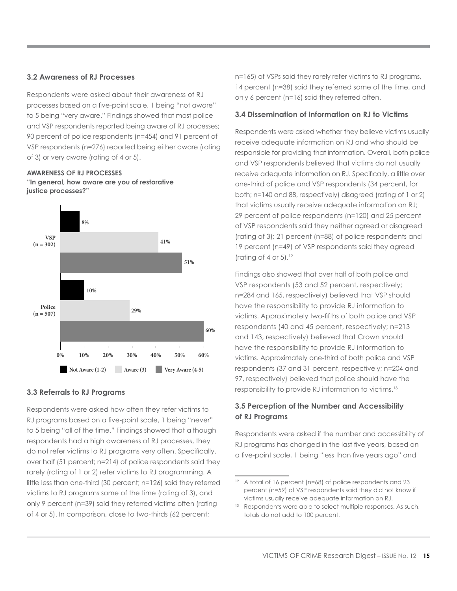#### **3.2 Awareness of RJ Processes**

Respondents were asked about their awareness of RJ processes based on a five-point scale, 1 being "not aware" to 5 being "very aware." Findings showed that most police and VSP respondents reported being aware of RJ processes; 90 percent of police respondents (n=454) and 91 percent of VSP respondents (n=276) reported being either aware (rating of 3) or very aware (rating of 4 or 5).

**AWARENESS OF RJ PROCESSES "In general, how aware are you of restorative justice processes?"**



#### **3.3 Referrals to RJ Programs**

Respondents were asked how often they refer victims to RJ programs based on a five-point scale, 1 being "never" to 5 being "all of the time." Findings showed that although respondents had a high awareness of RJ processes, they do not refer victims to RJ programs very often. Specifically, over half (51 percent; n=214) of police respondents said they rarely (rating of 1 or 2) refer victims to RJ programming. A little less than one-third (30 percent; n=126) said they referred victims to RJ programs some of the time (rating of 3), and only 9 percent (n=39) said they referred victims often (rating of 4 or 5). In comparison, close to two-thirds (62 percent;

n=165) of VSPs said they rarely refer victims to RJ programs, 14 percent (n=38) said they referred some of the time, and only 6 percent (n=16) said they referred often.

#### **3.4 Dissemination of Information on RJ to Victims**

Respondents were asked whether they believe victims usually receive adequate information on RJ and who should be responsible for providing that information. Overall, both police and VSP respondents believed that victims do not usually receive adequate information on RJ. Specifically, a little over one-third of police and VSP respondents (34 percent, for both; n=140 and 88, respectively) disagreed (rating of 1 or 2) that victims usually receive adequate information on RJ; 29 percent of police respondents (n=120) and 25 percent of VSP respondents said they neither agreed or disagreed (rating of 3); 21 percent (n=88) of police respondents and 19 percent (n=49) of VSP respondents said they agreed (rating of 4 or  $5$ ).<sup>12</sup>

Findings also showed that over half of both police and VSP respondents (53 and 52 percent, respectively; n=284 and 165, respectively) believed that VSP should have the responsibility to provide RJ information to victims. Approximately two-fifths of both police and VSP respondents (40 and 45 percent, respectively; n=213 and 143, respectively) believed that Crown should have the responsibility to provide RJ information to victims. Approximately one-third of both police and VSP respondents (37 and 31 percent, respectively; n=204 and 97, respectively) believed that police should have the responsibility to provide RJ information to victims.13

# **3.5 Perception of the Number and Accessibility of RJ Programs**

Respondents were asked if the number and accessibility of RJ programs has changed in the last five years, based on a five-point scale, 1 being "less than five years ago" and

<sup>&</sup>lt;sup>12</sup> A total of 16 percent (n=68) of police respondents and 23 percent (n=59) of VSP respondents said they did not know if victims usually receive adequate information on RJ.

<sup>&</sup>lt;sup>13</sup> Respondents were able to select multiple responses. As such, totals do not add to 100 percent.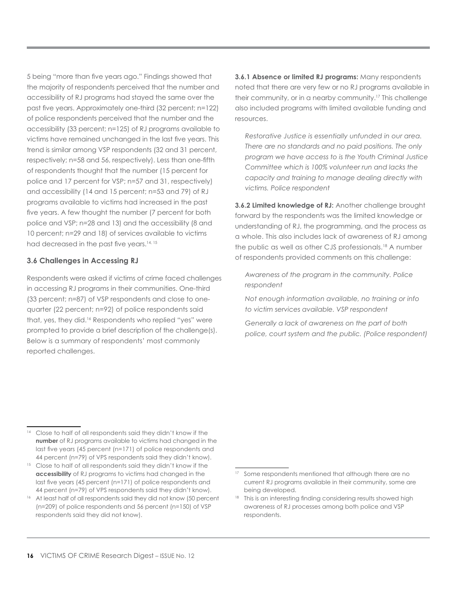5 being "more than five years ago." Findings showed that the majority of respondents perceived that the number and accessibility of RJ programs had stayed the same over the past five years. Approximately one-third (32 percent; n=122) of police respondents perceived that the number and the accessibility (33 percent; n=125) of RJ programs available to victims have remained unchanged in the last five years. This trend is similar among VSP respondents (32 and 31 percent, respectively; n=58 and 56, respectively). Less than one-fifth of respondents thought that the number (15 percent for police and 17 percent for VSP; n=57 and 31, respectively) and accessibility (14 and 15 percent; n=53 and 79) of RJ programs available to victims had increased in the past five years. A few thought the number (7 percent for both police and VSP; n=28 and 13) and the accessibility (8 and 10 percent; n=29 and 18) of services available to victims had decreased in the past five years.<sup>14, 15</sup>

# **3.6 Challenges in Accessing RJ**

Respondents were asked if victims of crime faced challenges in accessing RJ programs in their communities. One-third (33 percent; n=87) of VSP respondents and close to onequarter (22 percent; n=92) of police respondents said that, yes, they did.<sup>16</sup> Respondents who replied "yes" were prompted to provide a brief description of the challenge(s). Below is a summary of respondents' most commonly reported challenges.

**3.6.1 Absence or limited RJ programs:** Many respondents noted that there are very few or no RJ programs available in their community, or in a nearby community.17 This challenge also included programs with limited available funding and resources.

*Restorative Justice is essentially unfunded in our area. There are no standards and no paid positions. The only program we have access to is the Youth Criminal Justice Committee which is 100% volunteer run and lacks the capacity and training to manage dealing directly with victims. Police respondent*

**3.6.2 Limited knowledge of RJ:** Another challenge brought forward by the respondents was the limited knowledge or understanding of RJ, the programming, and the process as a whole. This also includes lack of awareness of RJ among the public as well as other CJS professionals.18 A number of respondents provided comments on this challenge:

*Awareness of the program in the community. Police respondent*

*Not enough information available, no training or info to victim services available. VSP respondent*

*Generally a lack of awareness on the part of both police, court system and the public. (Police respondent)*

<sup>&</sup>lt;sup>14</sup> Close to half of all respondents said they didn't know if the **number** of RJ programs available to victims had changed in the last five years (45 percent (n=171) of police respondents and 44 percent (n=79) of VPS respondents said they didn't know).

<sup>&</sup>lt;sup>15</sup> Close to half of all respondents said they didn't know if the **accessibility** of RJ programs to victims had changed in the last five years (45 percent (n=171) of police respondents and 44 percent (n=79) of VPS respondents said they didn't know).

<sup>&</sup>lt;sup>16</sup> At least half of all respondents said they did not know (50 percent (n=209) of police respondents and 56 percent (n=150) of VSP respondents said they did not know).

<sup>&</sup>lt;sup>17</sup> Some respondents mentioned that although there are no current RJ programs available in their community, some are being developed.

<sup>18</sup> This is an interesting finding considering results showed high awareness of RJ processes among both police and VSP respondents.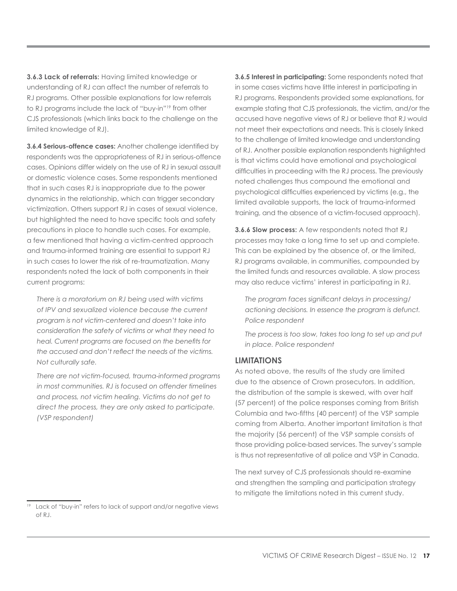**3.6.3 Lack of referrals:** Having limited knowledge or understanding of RJ can affect the number of referrals to RJ programs. Other possible explanations for low referrals to RJ programs include the lack of "buy-in"19 from other CJS professionals (which links back to the challenge on the limited knowledge of RJ).

**3.6.4 Serious-offence cases:** Another challenge identified by respondents was the appropriateness of RJ in serious-offence cases. Opinions differ widely on the use of RJ in sexual assault or domestic violence cases. Some respondents mentioned that in such cases RJ is inappropriate due to the power dynamics in the relationship, which can trigger secondary victimization. Others support RJ in cases of sexual violence, but highlighted the need to have specific tools and safety precautions in place to handle such cases. For example, a few mentioned that having a victim-centred approach and trauma-informed training are essential to support RJ in such cases to lower the risk of re-traumatization. Many respondents noted the lack of both components in their current programs:

*There is a moratorium on RJ being used with victims of IPV and sexualized violence because the current program is not victim-centered and doesn't take into consideration the safety of victims or what they need to heal. Current programs are focused on the benefits for the accused and don't reflect the needs of the victims. Not culturally safe.*

*There are not victim-focused, trauma-informed programs in most communities. RJ is focused on offender timelines and process, not victim healing. Victims do not get to direct the process, they are only asked to participate. (VSP respondent)*

**3.6.5 Interest in participating:** Some respondents noted that in some cases victims have little interest in participating in RJ programs. Respondents provided some explanations, for example stating that CJS professionals, the victim, and/or the accused have negative views of RJ or believe that RJ would not meet their expectations and needs. This is closely linked to the challenge of limited knowledge and understanding of RJ. Another possible explanation respondents highlighted is that victims could have emotional and psychological difficulties in proceeding with the RJ process. The previously noted challenges thus compound the emotional and psychological difficulties experienced by victims (e.g., the limited available supports, the lack of trauma-informed training, and the absence of a victim-focused approach).

**3.6.6 Slow process:** A few respondents noted that RJ processes may take a long time to set up and complete. This can be explained by the absence of, or the limited, RJ programs available, in communities, compounded by the limited funds and resources available. A slow process may also reduce victims' interest in participating in RJ.

*The program faces significant delays in processing/ actioning decisions. In essence the program is defunct. Police respondent*

*The process is too slow, takes too long to set up and put in place. Police respondent*

#### **LIMITATIONS**

As noted above, the results of the study are limited due to the absence of Crown prosecutors. In addition, the distribution of the sample is skewed, with over half (57 percent) of the police responses coming from British Columbia and two-fifths (40 percent) of the VSP sample coming from Alberta. Another important limitation is that the majority (56 percent) of the VSP sample consists of those providing police-based services. The survey's sample is thus not representative of all police and VSP in Canada.

The next survey of CJS professionals should re-examine and strengthen the sampling and participation strategy to mitigate the limitations noted in this current study.

<sup>&</sup>lt;sup>19</sup> Lack of "buy-in" refers to lack of support and/or negative views of RJ.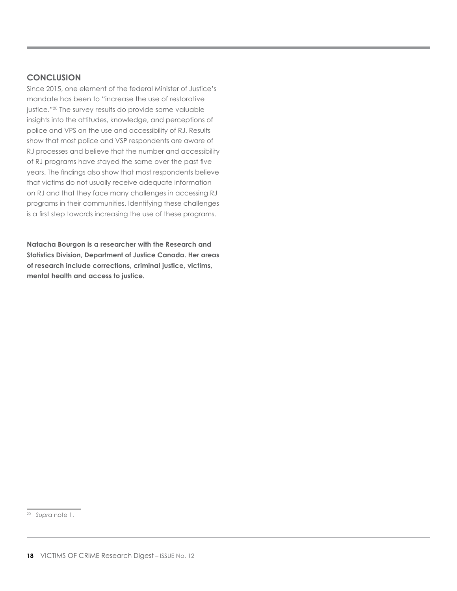#### **CONCLUSION**

Since 2015, one element of the federal Minister of Justice's mandate has been to "increase the use of restorative justice."<sup>20</sup> The survey results do provide some valuable insights into the attitudes, knowledge, and perceptions of police and VPS on the use and accessibility of RJ. Results show that most police and VSP respondents are aware of RJ processes and believe that the number and accessibility of RJ programs have stayed the same over the past five years. The findings also show that most respondents believe that victims do not usually receive adequate information on RJ and that they face many challenges in accessing RJ programs in their communities. Identifying these challenges is a first step towards increasing the use of these programs.

**Natacha Bourgon is a researcher with the Research and Statistics Division, Department of Justice Canada. Her areas of research include corrections, criminal justice, victims, mental health and access to justice.**

<sup>20</sup> *Supra* note 1.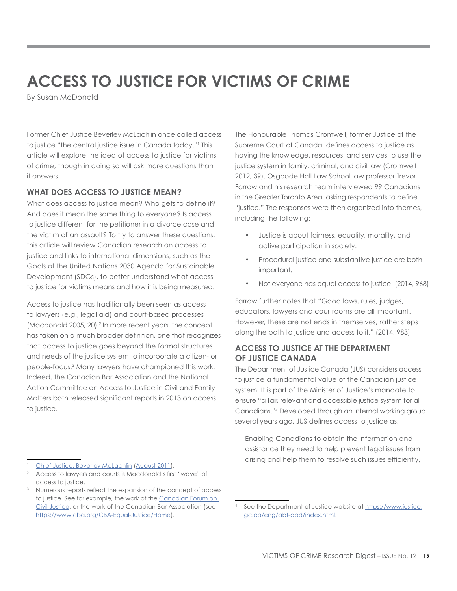# **ACCESS TO JUSTICE FOR VICTIMS OF CRIME**

By Susan McDonald

Former Chief Justice Beverley McLachlin once called access to justice "the central justice issue in Canada today."1 This article will explore the idea of access to justice for victims of crime, though in doing so will ask more questions than it answers.

# **WHAT DOES ACCESS TO JUSTICE MEAN?**

What does access to justice mean? Who gets to define it? And does it mean the same thing to everyone? Is access to justice different for the petitioner in a divorce case and the victim of an assault? To try to answer these questions, this article will review Canadian research on access to justice and links to international dimensions, such as the Goals of the United Nations 2030 Agenda for Sustainable Development (SDGs), to better understand what access to justice for victims means and how it is being measured.

Access to justice has traditionally been seen as access to lawyers (e.g., legal aid) and court-based processes (Macdonald 2005, 20).<sup>2</sup> In more recent years, the concept has taken on a much broader definition, one that recognizes that access to justice goes beyond the formal structures and needs of the justice system to incorporate a citizen- or people-focus.3 Many lawyers have championed this work. Indeed, the Canadian Bar Association and the National Action Committee on Access to Justice in Civil and Family Matters both released significant reports in 2013 on access to justice.

The Honourable Thomas Cromwell, former Justice of the Supreme Court of Canada, defines access to justice as having the knowledge, resources, and services to use the justice system in family, criminal, and civil law (Cromwell 2012, 39). Osgoode Hall Law School law professor Trevor Farrow and his research team interviewed 99 Canadians in the Greater Toronto Area, asking respondents to define "justice." The responses were then organized into themes, including the following:

- Justice is about fairness, equality, morality, and active participation in society.
- Procedural justice and substantive justice are both important.
- Not everyone has equal access to justice. (2014, 968)

Farrow further notes that "Good laws, rules, judges, educators, lawyers and courtrooms are all important. However, these are not ends in themselves, rather steps along the path to justice and access to it." (2014, 983)

# **ACCESS TO JUSTICE AT THE DEPARTMENT OF JUSTICE CANADA**

The Department of Justice Canada (JUS) considers access to justice a fundamental value of the Canadian justice system. It is part of the Minister of Justice's mandate to ensure "a fair, relevant and accessible justice system for all Canadians."4 Developed through an internal working group several years ago, JUS defines access to justice as:

Enabling Canadians to obtain the information and assistance they need to help prevent legal issues from arising and help them to resolve such issues efficiently,

[Chief Justice, Beverley McLachlin](http://www.documentationcapitale.ca/documents/ABCaout2011.pdf) ([August 2011\)](http://www.documentationcapitale.ca/documents/ABCaout2011.pdf).

<sup>2</sup> Access to lawyers and courts is Macdonald's first "wave" of access to justice.

<sup>&</sup>lt;sup>3</sup> Numerous reports reflect the expansion of the concept of access to justice. See for example, the work of the [Canadian Forum on](http://cfcj-fcjc.org/)  [Civil Justice,](http://cfcj-fcjc.org/) or the work of the Canadian Bar Association (see [https://www.cba.org/CBA-Equal-Justice/Home\)](https://www.cba.org/CBA-Equal-Justice/Home).

<sup>4</sup> See the Department of Justice website at [https://www.justice.](https://www.justice.gc.ca/eng/abt-apd/index.html) [gc.ca/eng/abt-apd/index.html.](https://www.justice.gc.ca/eng/abt-apd/index.html)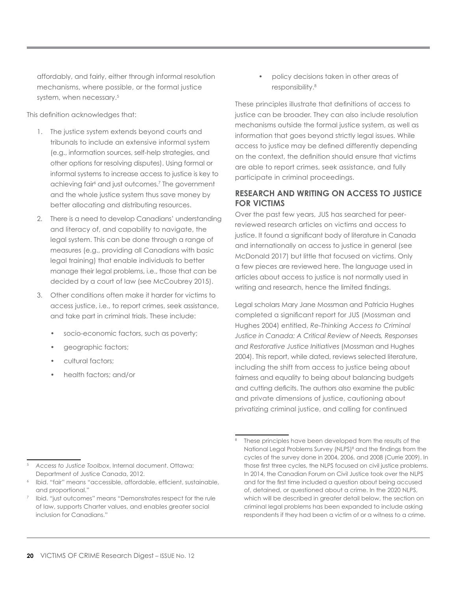affordably, and fairly, either through informal resolution mechanisms, where possible, or the formal justice system, when necessary.<sup>5</sup>

This definition acknowledges that:

- 1. The justice system extends beyond courts and tribunals to include an extensive informal system (e.g., information sources, self-help strategies, and other options for resolving disputes). Using formal or informal systems to increase access to justice is key to achieving fair<sup>6</sup> and just outcomes.<sup>7</sup> The government and the whole justice system thus save money by better allocating and distributing resources.
- 2. There is a need to develop Canadians' understanding and literacy of, and capability to navigate, the legal system. This can be done through a range of measures (e.g., providing all Canadians with basic legal training) that enable individuals to better manage their legal problems, i.e., those that can be decided by a court of law (see McCoubrey 2015).
- 3. Other conditions often make it harder for victims to access justice, i.e., to report crimes, seek assistance, and take part in criminal trials. These include:
	- socio-economic factors, such as poverty;
	- geographic factors;
	- cultural factors;
	- health factors; and/or

• policy decisions taken in other areas of responsibility.8

These principles illustrate that definitions of access to justice can be broader. They can also include resolution mechanisms outside the formal justice system, as well as information that goes beyond strictly legal issues. While access to justice may be defined differently depending on the context, the definition should ensure that victims are able to report crimes, seek assistance, and fully participate in criminal proceedings.

# **RESEARCH AND WRITING ON ACCESS TO JUSTICE FOR VICTIMS**

Over the past few years, JUS has searched for peerreviewed research articles on victims and access to justice. It found a significant body of literature in Canada and internationally on access to justice in general (see McDonald 2017) but little that focused on victims. Only a few pieces are reviewed here. The language used in articles about access to justice is not normally used in writing and research, hence the limited findings.

Legal scholars Mary Jane Mossman and Patricia Hughes completed a significant report for JUS (Mossman and Hughes 2004) entitled, *Re-Thinking Access to Criminal Justice in Canada: A Critical Review of Needs, Responses and Restorative Justice Initiatives* (Mossman and Hughes 2004). This report, while dated, reviews selected literature, including the shift from access to justice being about fairness and equality to being about balancing budgets and cutting deficits. The authors also examine the public and private dimensions of justice, cautioning about privatizing criminal justice, and calling for continued

<sup>5</sup> *Access to Justice Toolbox*, Internal document. Ottawa: Department of Justice Canada, 2012.

<sup>6</sup> Ibid. "fair" means "accessible, affordable, efficient, sustainable, and proportional."

<sup>7</sup> Ibid. "just outcomes" means "Demonstrates respect for the rule of law, supports Charter values, and enables greater social inclusion for Canadians."

These principles have been developed from the results of the National Legal Problems Survey (NLPS)<sup>8</sup> and the findings from the cycles of the survey done in 2004, 2006, and 2008 (Currie 2009). In those first three cycles, the NLPS focused on civil justice problems. In 2014, the Canadian Forum on Civil Justice took over the NLPS and for the first time included a question about being accused of, detained, or questioned about a crime. In the 2020 NLPS, which will be described in greater detail below, the section on criminal legal problems has been expanded to include asking respondents if they had been a victim of or a witness to a crime.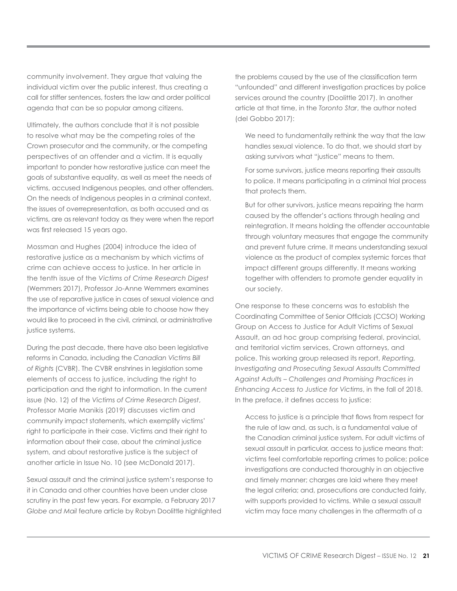community involvement. They argue that valuing the individual victim over the public interest, thus creating a call for stiffer sentences, fosters the law and order political agenda that can be so popular among citizens.

Ultimately, the authors conclude that it is not possible to resolve what may be the competing roles of the Crown prosecutor and the community, or the competing perspectives of an offender and a victim. It is equally important to ponder how restorative justice can meet the goals of substantive equality, as well as meet the needs of victims, accused Indigenous peoples, and other offenders. On the needs of Indigenous peoples in a criminal context, the issues of overrepresentation, as both accused and as victims, are as relevant today as they were when the report was first released 15 years ago.

Mossman and Hughes (2004) introduce the idea of restorative justice as a mechanism by which victims of crime can achieve access to justice. In her article in the tenth issue of the *Victims of Crime Research Digest* (Wemmers 2017), Professor Jo-Anne Wemmers examines the use of reparative justice in cases of sexual violence and the importance of victims being able to choose how they would like to proceed in the civil, criminal, or administrative justice systems.

During the past decade, there have also been legislative reforms in Canada, including the *Canadian Victims Bill of Rights* (CVBR). The CVBR enshrines in legislation some elements of access to justice, including the right to participation and the right to information. In the current issue (No. 12) of the *Victims of Crime Research Digest*, Professor Marie Manikis (2019) discusses victim and community impact statements, which exemplify victims' right to participate in their case. Victims and their right to information about their case, about the criminal justice system, and about restorative justice is the subject of another article in Issue No. 10 (see McDonald 2017).

Sexual assault and the criminal justice system's response to it in Canada and other countries have been under close scrutiny in the past few years. For example, a February 2017 *Globe and Mail* feature article by Robyn Doolittle highlighted

the problems caused by the use of the classification term "unfounded" and different investigation practices by police services around the country (Doolittle 2017). In another article at that time, in the *Toronto Star*, the author noted (del Gobbo 2017):

We need to fundamentally rethink the way that the law handles sexual violence. To do that, we should start by asking survivors what "justice" means to them.

For some survivors, justice means reporting their assaults to police. It means participating in a criminal trial process that protects them.

But for other survivors, justice means repairing the harm caused by the offender's actions through healing and reintegration. It means holding the offender accountable through voluntary measures that engage the community and prevent future crime. It means understanding sexual violence as the product of complex systemic forces that impact different groups differently. It means working together with offenders to promote gender equality in our society.

One response to these concerns was to establish the Coordinating Committee of Senior Officials (CCSO) Working Group on Access to Justice for Adult Victims of Sexual Assault, an ad hoc group comprising federal, provincial, and territorial victim services, Crown attorneys, and police. This working group released its report, *Reporting, Investigating and Prosecuting Sexual Assaults Committed Against Adults – Challenges and Promising Practices in Enhancing Access to Justice for Victims*, in the fall of 2018. In the preface, it defines access to justice:

Access to justice is a principle that flows from respect for the rule of law and, as such, is a fundamental value of the Canadian criminal justice system. For adult victims of sexual assault in particular, access to justice means that: victims feel comfortable reporting crimes to police; police investigations are conducted thoroughly in an objective and timely manner; charges are laid where they meet the legal criteria; and, prosecutions are conducted fairly, with supports provided to victims. While a sexual assault victim may face many challenges in the aftermath of a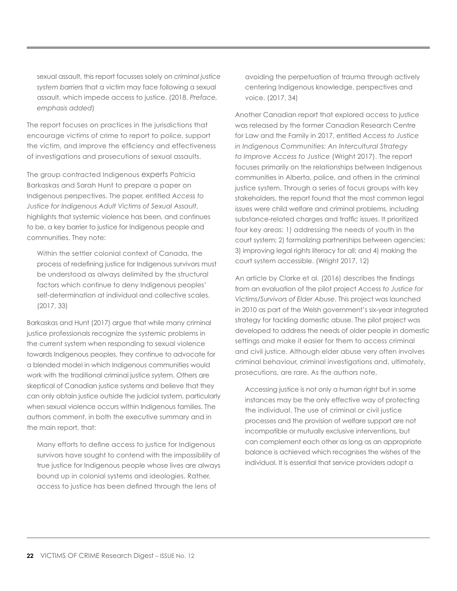sexual assault, this report focusses solely on *criminal justice system barriers* that a victim may face following a sexual assault, which impede access to justice. (2018, *Preface, emphasis added*)

The report focuses on practices in the jurisdictions that encourage victims of crime to report to police, support the victim, and improve the efficiency and effectiveness of investigations and prosecutions of sexual assaults.

The group contracted Indigenous experts Patricia Barkaskas and Sarah Hunt to prepare a paper on Indigenous perspectives. The paper, entitled *Access to Justice for Indigenous Adult Victims of Sexual Assault*, highlights that systemic violence has been, and continues to be, a key barrier to justice for Indigenous people and communities. They note:

Within the settler colonial context of Canada, the process of redefining justice for Indigenous survivors must be understood as always delimited by the structural factors which continue to deny Indigenous peoples' self-determination at individual and collective scales. (2017, 33)

Barkaskas and Hunt (2017) argue that while many criminal justice professionals recognize the systemic problems in the current system when responding to sexual violence towards Indigenous peoples, they continue to advocate for a blended model in which Indigenous communities would work with the traditional criminal justice system. Others are skeptical of Canadian justice systems and believe that they can only obtain justice outside the judicial system, particularly when sexual violence occurs within Indigenous families. The authors comment, in both the executive summary and in the main report, that:

Many efforts to define access to justice for Indigenous survivors have sought to contend with the impossibility of true justice for Indigenous people whose lives are always bound up in colonial systems and ideologies. Rather, access to justice has been defined through the lens of

avoiding the perpetuation of trauma through actively centering Indigenous knowledge, perspectives and voice. (2017, 34)

Another Canadian report that explored access to justice was released by the former Canadian Research Centre for Law and the Family in 2017, entitled *Access to Justice in Indigenous Communities: An Intercultural Strategy to Improve Access to Justice* (Wright 2017). The report focuses primarily on the relationships between Indigenous communities in Alberta, police, and others in the criminal justice system. Through a series of focus groups with key stakeholders, the report found that the most common legal issues were child welfare and criminal problems, including substance-related charges and traffic issues. It prioritized four key areas: 1) addressing the needs of youth in the court system; 2) formalizing partnerships between agencies; 3) improving legal rights literacy for all; and 4) making the court system accessible. (Wright 2017, 12)

An article by Clarke et al. (2016) describes the findings from an evaluation of the pilot project *Access to Justice for Victims/Survivors of Elder Abuse*. This project was launched in 2010 as part of the Welsh government's six-year integrated strategy for tackling domestic abuse. The pilot project was developed to address the needs of older people in domestic settings and make it easier for them to access criminal and civil justice. Although elder abuse very often involves criminal behaviour, criminal investigations and, ultimately, prosecutions, are rare. As the authors note,

Accessing justice is not only a human right but in some instances may be the only effective way of protecting the individual. The use of criminal or civil justice processes and the provision of welfare support are not incompatible or mutually exclusive interventions, but can complement each other as long as an appropriate balance is achieved which recognises the wishes of the individual. It is essential that service providers adopt a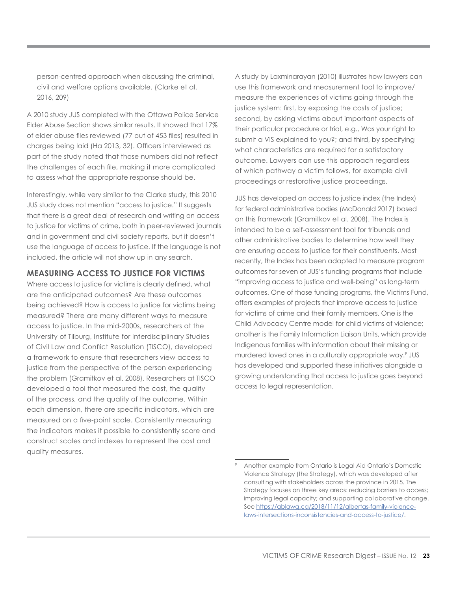person-centred approach when discussing the criminal, civil and welfare options available. (Clarke et al. 2016, 209)

A 2010 study JUS completed with the Ottawa Police Service Elder Abuse Section shows similar results. It showed that 17% of elder abuse files reviewed (77 out of 453 files) resulted in charges being laid (Ha 2013, 32). Officers interviewed as part of the study noted that those numbers did not reflect the challenges of each file, making it more complicated to assess what the appropriate response should be.

Interestingly, while very similar to the Clarke study, this 2010 JUS study does not mention "access to justice." It suggests that there is a great deal of research and writing on access to justice for victims of crime, both in peer-reviewed journals and in government and civil society reports, but it doesn't use the language of access to justice. If the language is not included, the article will not show up in any search.

#### **MEASURING ACCESS TO JUSTICE FOR VICTIMS**

Where access to justice for victims is clearly defined, what are the anticipated outcomes? Are these outcomes being achieved? How is access to justice for victims being measured? There are many different ways to measure access to justice. In the mid-2000s, researchers at the University of Tilburg, Institute for Interdisciplinary Studies of Civil Law and Conflict Resolution (TISCO), developed a framework to ensure that researchers view access to justice from the perspective of the person experiencing the problem (Gramitkov et al. 2008). Researchers at TISCO developed a tool that measured the cost, the quality of the process, and the quality of the outcome. Within each dimension, there are specific indicators, which are measured on a five-point scale. Consistently measuring the indicators makes it possible to consistently score and construct scales and indexes to represent the cost and quality measures.

A study by Laxminarayan (2010) illustrates how lawyers can use this framework and measurement tool to improve/ measure the experiences of victims going through the justice system: first, by exposing the costs of justice; second, by asking victims about important aspects of their particular procedure or trial, e.g., Was your right to submit a VIS explained to you?; and third, by specifying what characteristics are required for a satisfactory outcome. Lawyers can use this approach regardless of which pathway a victim follows, for example civil proceedings or restorative justice proceedings.

JUS has developed an access to justice index (the Index) for federal administrative bodies (McDonald 2017) based on this framework (Gramitkov et al. 2008). The Index is intended to be a self-assessment tool for tribunals and other administrative bodies to determine how well they are ensuring access to justice for their constituents. Most recently, the Index has been adapted to measure program outcomes for seven of JUS's funding programs that include "improving access to justice and well-being" as long-term outcomes. One of those funding programs, the Victims Fund, offers examples of projects that improve access to justice for victims of crime and their family members. One is the Child Advocacy Centre model for child victims of violence; another is the Family Information Liaison Units, which provide Indigenous families with information about their missing or murdered loved ones in a culturally appropriate way.<sup>9</sup> JUS has developed and supported these initiatives alongside a growing understanding that access to justice goes beyond access to legal representation.

<sup>9</sup> Another example from Ontario is Legal Aid Ontario's Domestic Violence Strategy (the Strategy), which was developed after consulting with stakeholders across the province in 2015. The Strategy focuses on three key areas: reducing barriers to access; improving legal capacity; and supporting collaborative change. See [https://ablawg.ca/2018/11/12/albertas-family-violence](https://ablawg.ca/2018/11/12/albertas-family-violence-laws-intersections-inconsistencies-and-access-to-justice/)[laws-intersections-inconsistencies-and-access-to-justice/.](https://ablawg.ca/2018/11/12/albertas-family-violence-laws-intersections-inconsistencies-and-access-to-justice/)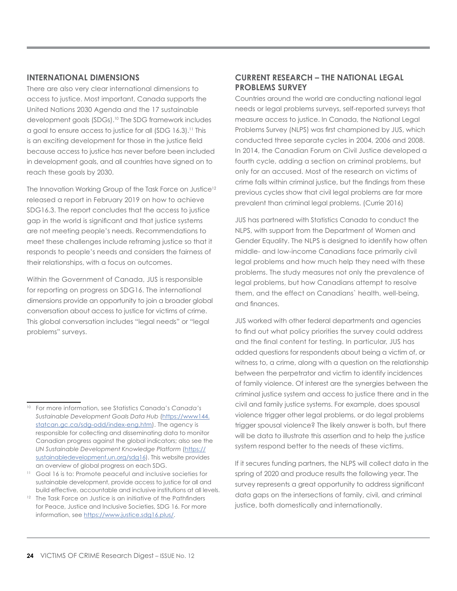#### **INTERNATIONAL DIMENSIONS**

There are also very clear international dimensions to access to justice. Most important, Canada supports the United Nations 2030 Agenda and the 17 sustainable development goals (SDGs).<sup>10</sup> The SDG framework includes a goal to ensure access to justice for all (SDG 16.3).<sup>11</sup> This is an exciting development for those in the justice field because access to justice has never before been included in development goals, and all countries have signed on to reach these goals by 2030.

The Innovation Working Group of the Task Force on Justice<sup>12</sup> released a report in February 2019 on how to achieve SDG16.3. The report concludes that the access to justice gap in the world is significant and that justice systems are not meeting people's needs. Recommendations to meet these challenges include reframing justice so that it responds to people's needs and considers the fairness of their relationships, with a focus on outcomes.

Within the Government of Canada, JUS is responsible for reporting on progress on SDG16. The international dimensions provide an opportunity to join a broader global conversation about access to justice for victims of crime. This global conversation includes "legal needs" or "legal problems" surveys.

# **CURRENT RESEARCH – THE NATIONAL LEGAL PROBLEMS SURVEY**

Countries around the world are conducting national legal needs or legal problems surveys, self-reported surveys that measure access to justice. In Canada, the National Legal Problems Survey (NLPS) was first championed by JUS, which conducted three separate cycles in 2004, 2006 and 2008. In 2014, the Canadian Forum on Civil Justice developed a fourth cycle, adding a section on criminal problems, but only for an accused. Most of the research on victims of crime falls within criminal justice, but the findings from these previous cycles show that civil legal problems are far more prevalent than criminal legal problems. (Currie 2016)

JUS has partnered with Statistics Canada to conduct the NLPS, with support from the Department of Women and Gender Equality. The NLPS is designed to identify how often middle- and low-income Canadians face primarily civil legal problems and how much help they need with these problems. The study measures not only the prevalence of legal problems, but how Canadians attempt to resolve them, and the effect on Canadians` health, well-being, and finances.

JUS worked with other federal departments and agencies to find out what policy priorities the survey could address and the final content for testing. In particular, JUS has added questions for respondents about being a victim of, or witness to, a crime, along with a question on the relationship between the perpetrator and victim to identify incidences of family violence. Of interest are the synergies between the criminal justice system and access to justice there and in the civil and family justice systems. For example, does spousal violence trigger other legal problems, or do legal problems trigger spousal violence? The likely answer is both, but there will be data to illustrate this assertion and to help the justice system respond better to the needs of these victims.

If it secures funding partners, the NLPS will collect data in the spring of 2020 and produce results the following year. The survey represents a great opportunity to address significant data gaps on the intersections of family, civil, and criminal justice, both domestically and internationally.

<sup>10</sup> For more information, see Statistics Canada's *Canada's Sustainable Development Goals Data Hub* [\(https://www144.](https://www144.statcan.gc.ca/sdg-odd/index-eng.htm) [statcan.gc.ca/sdg-odd/index-eng.htm\)](https://www144.statcan.gc.ca/sdg-odd/index-eng.htm). The agency is responsible for collecting and disseminating data to monitor Canadian progress against the global indicators; also see the *UN Sustainable Development Knowledge Platform* ([https://](https://sustainabledevelopment.un.org/sdg16) [sustainabledevelopment.un.org/sdg16](https://sustainabledevelopment.un.org/sdg16)). This website provides an overview of global progress on each SDG.

<sup>11</sup> Goal 16 is to: Promote peaceful and inclusive societies for sustainable development, provide access to justice for all and build effective, accountable and inclusive institutions at all levels.

<sup>&</sup>lt;sup>12</sup> The Task Force on Justice is an initiative of the Pathfinders for Peace, Justice and Inclusive Societies, SDG 16. For more information, see [https://www.justice.sdg16.plus/.](https://www.justice.sdg16.plus/)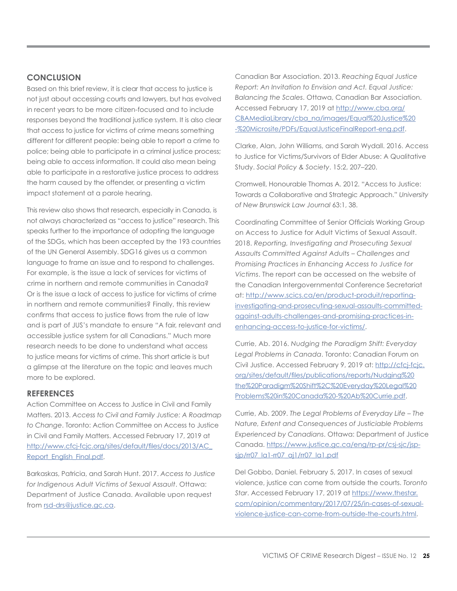# **CONCLUSION**

Based on this brief review, it is clear that access to justice is not just about accessing courts and lawyers, but has evolved in recent years to be more citizen-focused and to include responses beyond the traditional justice system. It is also clear that access to justice for victims of crime means something different for different people: being able to report a crime to police; being able to participate in a criminal justice process; being able to access information. It could also mean being able to participate in a restorative justice process to address the harm caused by the offender, or presenting a victim impact statement at a parole hearing.

This review also shows that research, especially in Canada, is not always characterized as "access to justice" research. This speaks further to the importance of adopting the language of the SDGs, which has been accepted by the 193 countries of the UN General Assembly. SDG16 gives us a common language to frame an issue and to respond to challenges. For example, is the issue a lack of services for victims of crime in northern and remote communities in Canada? Or is the issue a lack of access to justice for victims of crime in northern and remote communities? Finally, this review confirms that access to justice flows from the rule of law and is part of JUS's mandate to ensure "A fair, relevant and accessible justice system for all Canadians." Much more research needs to be done to understand what access to justice means for victims of crime. This short article is but a glimpse at the literature on the topic and leaves much more to be explored.

#### **REFERENCES**

Action Committee on Access to Justice in Civil and Family Matters. 2013. *Access to Civil and Family Justice: A Roadmap to Change*. Toronto: Action Committee on Access to Justice in Civil and Family Matters. Accessed February 17, 2019 at [http://www.cfcj-fcjc.org/sites/default/files/docs/2013/AC\\_](http://www.cfcj-fcjc.org/sites/default/files/docs/2013/AC_Report_English_Final.pdf) [Report\\_English\\_Final.pdf](http://www.cfcj-fcjc.org/sites/default/files/docs/2013/AC_Report_English_Final.pdf).

Barkaskas, Patricia, and Sarah Hunt. 2017. *Access to Justice for Indigenous Adult Victims of Sexual Assault*. Ottawa: Department of Justice Canada. Available upon request from [rsd-drs@justice.gc.ca](mailto:rsd-drs%40justice.gc.ca?subject=).

Canadian Bar Association. 2013. *Reaching Equal Justice Report: An Invitation to Envision and Act. Equal Justice: Balancing the Scales*. Ottawa, Canadian Bar Association. Accessed February 17, 2019 at [http://www.cba.org/](http://www.cba.org/CBAMediaLibrary/cba_na/images/Equal%20Justice%20-%20Microsite/PDFs/EqualJusticeFinalReport-eng.pdf) [CBAMediaLibrary/cba\\_na/images/Equal%20Justice%20](http://www.cba.org/CBAMediaLibrary/cba_na/images/Equal%20Justice%20-%20Microsite/PDFs/EqualJusticeFinalReport-eng.pdf) [-%20Microsite/PDFs/EqualJusticeFinalReport-eng.pdf](http://www.cba.org/CBAMediaLibrary/cba_na/images/Equal%20Justice%20-%20Microsite/PDFs/EqualJusticeFinalReport-eng.pdf).

Clarke, Alan, John Williams, and Sarah Wydall. 2016. Access to Justice for Victims/Survivors of Elder Abuse: A Qualitative Study. *Social Policy & Society*. 15:2, 207–220.

Cromwell, Honourable Thomas A. 2012. "Access to Justice: Towards a Collaborative and Strategic Approach." *University of New Brunswick Law Journal* 63:1, 38.

Coordinating Committee of Senior Officials Working Group on Access to Justice for Adult Victims of Sexual Assault. 2018. *Reporting, Investigating and Prosecuting Sexual Assaults Committed Against Adults – Challenges and Promising Practices in Enhancing Access to Justice for Victims*. The report can be accessed on the website of the Canadian Intergovernmental Conference Secretariat at: [http://www.scics.ca/en/product-produit/reporting](http://www.scics.ca/en/product-produit/reporting-investigating-and-prosecuting-sexual-assaults-committed-against-adults-challenges-and-promising-practices-in-enhancing-access-to-justice-for-victims/)[investigating-and-prosecuting-sexual-assaults-committed](http://www.scics.ca/en/product-produit/reporting-investigating-and-prosecuting-sexual-assaults-committed-against-adults-challenges-and-promising-practices-in-enhancing-access-to-justice-for-victims/)[against-adults-challenges-and-promising-practices-in](http://www.scics.ca/en/product-produit/reporting-investigating-and-prosecuting-sexual-assaults-committed-against-adults-challenges-and-promising-practices-in-enhancing-access-to-justice-for-victims/)[enhancing-access-to-justice-for-victims/](http://www.scics.ca/en/product-produit/reporting-investigating-and-prosecuting-sexual-assaults-committed-against-adults-challenges-and-promising-practices-in-enhancing-access-to-justice-for-victims/).

Currie, Ab. 2016. *Nudging the Paradigm Shift: Everyday Legal Problems in Canada*. Toronto: Canadian Forum on Civil Justice. Accessed February 9, 2019 at: [http://cfcj-fcjc.](http://cfcj-fcjc.org/sites/default/files/publications/reports/Nudging%20the%20Paradigm%20Shift%2C%20Everyday%20Legal%20Problems%20in%20Canada%20-%20Ab%20Currie.pdf) [org/sites/default/files/publications/reports/Nudging%20](http://cfcj-fcjc.org/sites/default/files/publications/reports/Nudging%20the%20Paradigm%20Shift%2C%20Everyday%20Legal%20Problems%20in%20Canada%20-%20Ab%20Currie.pdf) [the%20Paradigm%20Shift%2C%20Everyday%20Legal%20](http://cfcj-fcjc.org/sites/default/files/publications/reports/Nudging%20the%20Paradigm%20Shift%2C%20Everyday%20Legal%20Problems%20in%20Canada%20-%20Ab%20Currie.pdf) [Problems%20in%20Canada%20-%20Ab%20Currie.pdf](http://cfcj-fcjc.org/sites/default/files/publications/reports/Nudging%20the%20Paradigm%20Shift%2C%20Everyday%20Legal%20Problems%20in%20Canada%20-%20Ab%20Currie.pdf).

Currie, Ab. 2009. *The Legal Problems of Everyday Life – The Nature, Extent and Consequences of Justiciable Problems Experienced by Canadians*. Ottawa: Department of Justice Canada. [https://www.justice.gc.ca/eng/rp-pr/csj-sjc/jsp](https://www.justice.gc.ca/eng/rp-pr/csj-sjc/jsp-sjp/rr07_la1-rr07_aj1/rr07_la1.pdf)[sjp/rr07\\_la1-rr07\\_aj1/rr07\\_la1.pdf](https://www.justice.gc.ca/eng/rp-pr/csj-sjc/jsp-sjp/rr07_la1-rr07_aj1/rr07_la1.pdf)

Del Gobbo, Daniel. February 5, 2017. In cases of sexual violence, justice can come from outside the courts. *Toronto Star*. Accessed February 17, 2019 at [https://www.thestar.](https://www.thestar.com/opinion/commentary/2017/07/25/in-cases-of-sexual-violence-justice-can-come-from-outside-the-courts.html) [com/opinion/commentary/2017/07/25/in-cases-of-sexual](https://www.thestar.com/opinion/commentary/2017/07/25/in-cases-of-sexual-violence-justice-can-come-from-outside-the-courts.html)[violence-justice-can-come-from-outside-the-courts.html.](https://www.thestar.com/opinion/commentary/2017/07/25/in-cases-of-sexual-violence-justice-can-come-from-outside-the-courts.html)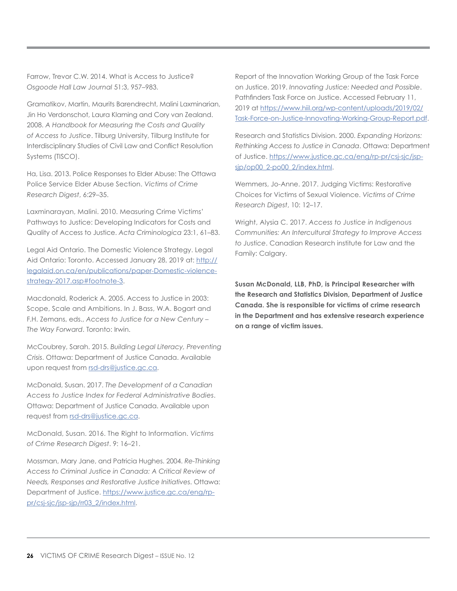Farrow, Trevor C.W. 2014. What is Access to Justice? *Osgoode Hall Law Journal* 51:3, 957–983.

Gramatikov, Martin, Maurits Barendrecht, Malini Laxminarian, Jin Ho Verdonschot, Laura Klaming and Cory van Zealand. 2008. *A Handbook for Measuring the Costs and Quality of Access to Justice*. Tilburg University, Tilburg Institute for Interdisciplinary Studies of Civil Law and Conflict Resolution Systems (TISCO).

Ha, Lisa. 2013. Police Responses to Elder Abuse: The Ottawa Police Service Elder Abuse Section. *Victims of Crime Research Digest*, 6:29–35.

Laxminarayan, Malini. 2010. Measuring Crime Victims' Pathways to Justice: Developing Indicators for Costs and Quality of Access to Justice. *Acta Criminologica* 23:1, 61–83.

Legal Aid Ontario. The Domestic Violence Strategy. Legal Aid Ontario: Toronto. Accessed January 28, 2019 at: [http://](http://legalaid.on.ca/en/publications/paper-Domestic-violence-strategy-2017.asp#footnote-3) [legalaid.on.ca/en/publications/paper-Domestic-violence](http://legalaid.on.ca/en/publications/paper-Domestic-violence-strategy-2017.asp#footnote-3)[strategy-2017.asp#footnote-3.](http://legalaid.on.ca/en/publications/paper-Domestic-violence-strategy-2017.asp#footnote-3)

Macdonald, Roderick A. 2005. Access to Justice in 2003: Scope, Scale and Ambitions. In J. Bass, W.A. Bogart and F.H. Zemans, eds., *Access to Justice for a New Century – The Way Forward*. Toronto: Irwin.

McCoubrey, Sarah. 2015. *Building Legal Literacy, Preventing Crisis*. Ottawa: Department of Justice Canada. Available upon request from [rsd-drs@justice.gc.ca.](mailto:rsd-drs%40justice.gc.ca?subject=)

McDonald, Susan. 2017. *The Development of a Canadian Access to Justice Index for Federal Administrative Bodies*. Ottawa: Department of Justice Canada. Available upon request from [rsd-drs@justice.gc.ca](mailto:rsd-drs%40justice.gc.ca?subject=).

McDonald, Susan. 2016. The Right to Information. *Victims of Crime Research Digest*. 9: 16–21.

Mossman, Mary Jane, and Patricia Hughes. 2004. *Re-Thinking Access to Criminal Justice in Canada: A Critical Review of Needs, Responses and Restorative Justice Initiatives*. Ottawa: Department of Justice. [https://www.justice.gc.ca/eng/rp](https://www.justice.gc.ca/eng/rp-pr/csj-sjc/jsp-sjp/rr03_2/index.html)[pr/csj-sjc/jsp-sjp/rr03\\_2/index.html.](https://www.justice.gc.ca/eng/rp-pr/csj-sjc/jsp-sjp/rr03_2/index.html)

Report of the Innovation Working Group of the Task Force on Justice. 2019. *Innovating Justice: Needed and Possible*. Pathfinders Task Force on Justice. Accessed February 11, 2019 at [https://www.hiil.org/wp-content/uploads/2019/02/](https://www.hiil.org/wp-content/uploads/2019/02/Task-Force-on-Justice-Innovating-Working-Group-Report.pdf) [Task-Force-on-Justice-Innovating-Working-Group-Report.pdf.](https://www.hiil.org/wp-content/uploads/2019/02/Task-Force-on-Justice-Innovating-Working-Group-Report.pdf)

Research and Statistics Division. 2000. *Expanding Horizons: Rethinking Access to Justice in Canada*. Ottawa: Department of Justice. [https://www.justice.gc.ca/eng/rp-pr/csj-sjc/jsp](https://www.justice.gc.ca/eng/rp-pr/csj-sjc/jsp-sjp/op00_2-po00_2/index.html)[sjp/op00\\_2-po00\\_2/index.html](https://www.justice.gc.ca/eng/rp-pr/csj-sjc/jsp-sjp/op00_2-po00_2/index.html).

Wemmers, Jo-Anne. 2017. Judging Victims: Restorative Choices for Victims of Sexual Violence. *Victims of Crime Research Digest*, 10: 12–17.

Wright, Alysia C. 2017. *Access to Justice in Indigenous Communities: An Intercultural Strategy to Improve Access to Justice*. Canadian Research institute for Law and the Family: Calgary.

**Susan McDonald, LLB, PhD, is Principal Researcher with the Research and Statistics Division, Department of Justice Canada. She is responsible for victims of crime research in the Department and has extensive research experience on a range of victim issues.**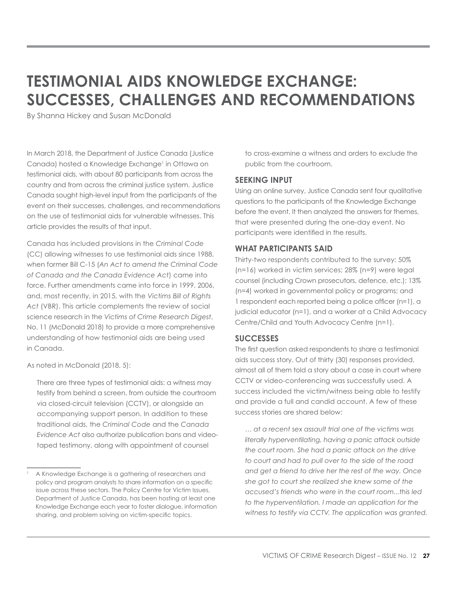# **TESTIMONIAL AIDS KNOWLEDGE EXCHANGE: SUCCESSES, CHALLENGES AND RECOMMENDATIONS**

By Shanna Hickey and Susan McDonald

In March 2018, the Department of Justice Canada (Justice Canada) hosted a Knowledge Exchange<sup>1</sup> in Ottawa on testimonial aids, with about 80 participants from across the country and from across the criminal justice system. Justice Canada sought high-level input from the participants of the event on their successes, challenges, and recommendations on the use of testimonial aids for vulnerable witnesses. This article provides the results of that input.

Canada has included provisions in the *Criminal Code* (CC) allowing witnesses to use testimonial aids since 1988, when former Bill C-15 (*An Act to amend the Criminal Code of Canada and the Canada Evidence Act*) came into force. Further amendments came into force in 1999, 2006, and, most recently, in 2015, with the *Victims Bill of Rights Act* (VBR). This article complements the review of social science research in the *Victims of Crime Research Digest*, No. 11 (McDonald 2018) to provide a more comprehensive understanding of how testimonial aids are being used in Canada.

As noted in McDonald (2018, 5):

There are three types of testimonial aids: a witness may testify from behind a screen, from outside the courtroom via closed-circuit television (CCTV), or alongside an accompanying support person. In addition to these traditional aids, the *Criminal Code* and the *Canada Evidence Act* also authorize publication bans and videotaped testimony, along with appointment of counsel

to cross-examine a witness and orders to exclude the public from the courtroom.

#### **SEEKING INPUT**

Using an online survey, Justice Canada sent four qualitative questions to the participants of the Knowledge Exchange before the event. It then analyzed the answers for themes, that were presented during the one-day event. No participants were identified in the results.

#### **WHAT PARTICIPANTS SAID**

Thirty-two respondents contributed to the survey: 50% (n=16) worked in victim services; 28% (n=9) were legal counsel (including Crown prosecutors, defence, etc.); 13% (n=4) worked in governmental policy or programs; and 1 respondent each reported being a police officer (n=1), a judicial educator (n=1), and a worker at a Child Advocacy Centre/Child and Youth Advocacy Centre (n=1).

#### **SUCCESSES**

The first question asked respondents to share a testimonial aids success story. Out of thirty (30) responses provided, almost all of them told a story about a case in court where CCTV or video-conferencing was successfully used. A success included the victim/witness being able to testify and provide a full and candid account. A few of these success stories are shared below:

*… at a recent sex assault trial one of the victims was literally hyperventilating, having a panic attack outside the court room. She had a panic attack on the drive to court and had to pull over to the side of the road and get a friend to drive her the rest of the way. Once she got to court she realized she knew some of the accused's friends who were in the court room...this led to the hyperventilation. I made an application for the witness to testify via CCTV. The application was granted.* 

<sup>1</sup> A Knowledge Exchange is a gathering of researchers and policy and program analysts to share information on a specific issue across these sectors. The Policy Centre for Victim Issues, Department of Justice Canada, has been hosting at least one Knowledge Exchange each year to foster dialogue, information sharing, and problem solving on victim-specific topics.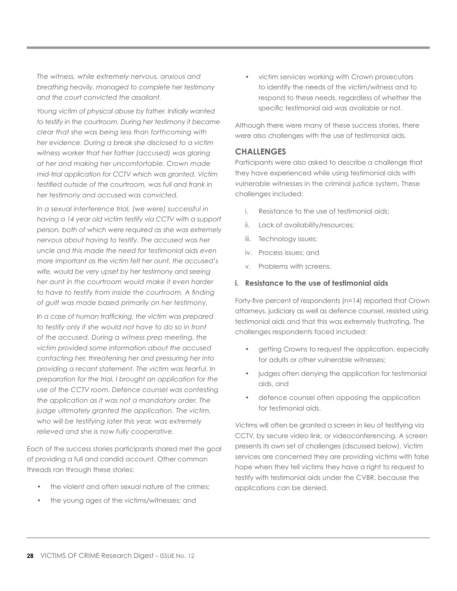*The witness, while extremely nervous, anxious and breathing heavily, managed to complete her testimony and the court convicted the assailant.*

*Young victim of physical abuse by father. Initially wanted to testify in the courtroom. During her testimony it became clear that she was being less than forthcoming with her evidence. During a break she disclosed to a victim witness worker that her father (accused) was glaring at her and making her uncomfortable. Crown made mid-trial application for CCTV which was granted. Victim testified outside of the courtroom, was full and frank in her testimony and accused was convicted.*

*In a sexual interference trial, (we were) successful in having a 14 year old victim testify via CCTV with a support person, both of which were required as she was extremely nervous about having to testify. The accused was her uncle and this made the need for testimonial aids even more important as the victim felt her aunt, the accused's wife, would be very upset by her testimony and seeing her aunt in the courtroom would make it even harder to have to testify from inside the courtroom. A finding of guilt was made based primarily on her testimony.*

*In a case of human trafficking, the victim was prepared to testify only if she would not have to do so in front of the accused. During a witness prep meeting, the victim provided some information about the accused contacting her, threatening her and pressuring her into providing a recant statement. The victim was fearful. In preparation for the trial, I brought an application for the use of the CCTV room. Defence counsel was contesting the application as it was not a mandatory order. The judge ultimately granted the application. The victim, who will be testifying later this year, was extremely relieved and she is now fully cooperative.* 

Each of the success stories participants shared met the goal of providing a full and candid account. Other common threads ran through these stories:

- the violent and often sexual nature of the crimes;
- the young ages of the victims/witnesses; and

• victim services working with Crown prosecutors to identify the needs of the victim/witness and to respond to these needs, regardless of whether the specific testimonial aid was available or not.

Although there were many of these success stories, there were also challenges with the use of testimonial aids.

#### **CHALLENGES**

Participants were also asked to describe a challenge that they have experienced while using testimonial aids with vulnerable witnesses in the criminal justice system. These challenges included:

- i. Resistance to the use of testimonial aids;
- ii. Lack of availability/resources;
- iii. Technology issues;
- iv. Process issues; and
- v. Problems with screens.

#### **i. Resistance to the use of testimonial aids**

Forty-five percent of respondents (n=14) reported that Crown attorneys, judiciary as well as defence counsel, resisted using testimonial aids and that this was extremely frustrating. The challenges respondents faced included:

- getting Crowns to request the application, especially for adults or other vulnerable witnesses;
- judges often denying the application for testimonial aids, and
- defence counsel often opposing the application for testimonial aids.

Victims will often be granted a screen in lieu of testifying via CCTV, by secure video link, or videoconferencing. A screen presents its own set of challenges (discussed below). Victim services are concerned they are providing victims with false hope when they tell victims they have a right to request to testify with testimonial aids under the CVBR, because the applications can be denied.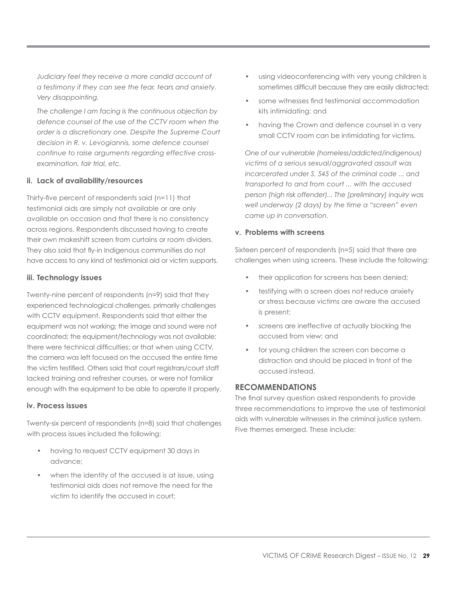*Judiciary feel they receive a more candid account of a testimony if they can see the fear, tears and anxiety. Very disappointing.*

*The challenge I am facing is the continuous objection by defence counsel of the use of the CCTV room when the order is a discretionary one. Despite the Supreme Court decision in R. v. Levogiannis, some defence counsel continue to raise arguments regarding effective crossexamination, fair trial, etc.*

#### **ii. Lack of availability/resources**

Thirty-five percent of respondents said (n=11) that testimonial aids are simply not available or are only available on occasion and that there is no consistency across regions. Respondents discussed having to create their own makeshift screen from curtains or room dividers. They also said that fly-in Indigenous communities do not have access to any kind of testimonial aid or victim supports.

#### **iii. Technology issues**

Twenty-nine percent of respondents (n=9) said that they experienced technological challenges, primarily challenges with CCTV equipment. Respondents said that either the equipment was not working; the image and sound were not coordinated; the equipment/technology was not available; there were technical difficulties; or that when using CCTV, the camera was left focused on the accused the entire time the victim testified. Others said that court registrars/court staff lacked training and refresher courses, or were not familiar enough with the equipment to be able to operate it properly.

#### **iv. Process issues**

Twenty-six percent of respondents (n=8) said that challenges with process issues included the following:

- having to request CCTV equipment 30 days in advance;
- when the identity of the accused is at issue, using testimonial aids does not remove the need for the victim to identify the accused in court;
- using videoconferencing with very young children is sometimes difficult because they are easily distracted;
- some witnesses find testimonial accommodation kits intimidating; and
- having the Crown and defence counsel in a very small CCTV room can be intimidating for victims.

*One of our vulnerable (homeless/addicted/indigenous) victims of a serious sexual/aggravated assault was incarcerated under S. 545 of the criminal code ... and transported to and from court ... with the accused person (high risk offender)... The [preliminary] inquiry was well underway (2 days) by the time a "screen" even came up in conversation.*

#### **v. Problems with screens**

Sixteen percent of respondents (n=5) said that there are challenges when using screens. These include the following:

- their application for screens has been denied;
- testifying with a screen does not reduce anxiety or stress because victims are aware the accused is present;
- screens are ineffective at actually blocking the accused from view; and
- for young children the screen can become a distraction and should be placed in front of the accused instead.

# **RECOMMENDATIONS**

The final survey question asked respondents to provide three recommendations to improve the use of testimonial aids with vulnerable witnesses in the criminal justice system. Five themes emerged. These include: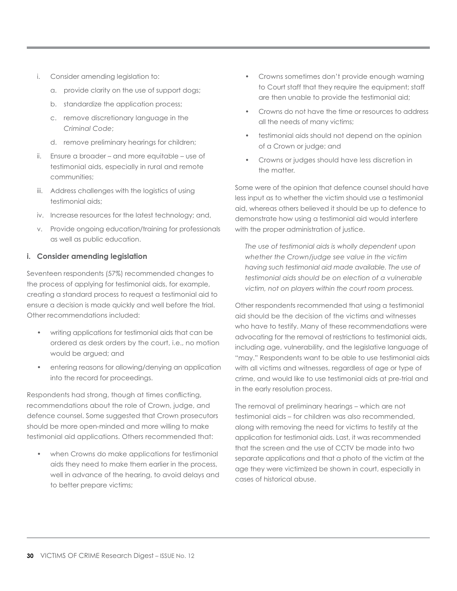- i. Consider amending legislation to:
	- a. provide clarity on the use of support dogs;
	- b. standardize the application process;
	- c. remove discretionary language in the *Criminal Code*;
	- d. remove preliminary hearings for children;
- ii. Ensure a broader and more equitable use of testimonial aids, especially in rural and remote communities;
- iii. Address challenges with the logistics of using testimonial aids;
- iv. Increase resources for the latest technology; and,
- v. Provide ongoing education/training for professionals as well as public education.

#### **i. Consider amending legislation**

Seventeen respondents (57%) recommended changes to the process of applying for testimonial aids, for example, creating a standard process to request a testimonial aid to ensure a decision is made quickly and well before the trial. Other recommendations included:

- writing applications for testimonial aids that can be ordered as desk orders by the court, i.e., no motion would be argued; and
- entering reasons for allowing/denying an application into the record for proceedings.

Respondents had strong, though at times conflicting, recommendations about the role of Crown, judge, and defence counsel. Some suggested that Crown prosecutors should be more open-minded and more willing to make testimonial aid applications. Others recommended that:

• when Crowns do make applications for testimonial aids they need to make them earlier in the process, well in advance of the hearing, to avoid delays and to better prepare victims;

- Crowns sometimes don't provide enough warning to Court staff that they require the equipment; staff are then unable to provide the testimonial aid;
- Crowns do not have the time or resources to address all the needs of many victims;
- testimonial aids should not depend on the opinion of a Crown or judge; and
- Crowns or judges should have less discretion in the matter.

Some were of the opinion that defence counsel should have less input as to whether the victim should use a testimonial aid, whereas others believed it should be up to defence to demonstrate how using a testimonial aid would interfere with the proper administration of justice.

*The use of testimonial aids is wholly dependent upon whether the Crown/judge see value in the victim having such testimonial aid made available. The use of testimonial aids should be on election of a vulnerable victim, not on players within the court room process.*

Other respondents recommended that using a testimonial aid should be the decision of the victims and witnesses who have to testify. Many of these recommendations were advocating for the removal of restrictions to testimonial aids, including age, vulnerability, and the legislative language of "may." Respondents want to be able to use testimonial aids with all victims and witnesses, regardless of age or type of crime, and would like to use testimonial aids at pre-trial and in the early resolution process.

The removal of preliminary hearings – which are not testimonial aids – for children was also recommended, along with removing the need for victims to testify at the application for testimonial aids. Last, it was recommended that the screen and the use of CCTV be made into two separate applications and that a photo of the victim at the age they were victimized be shown in court, especially in cases of historical abuse.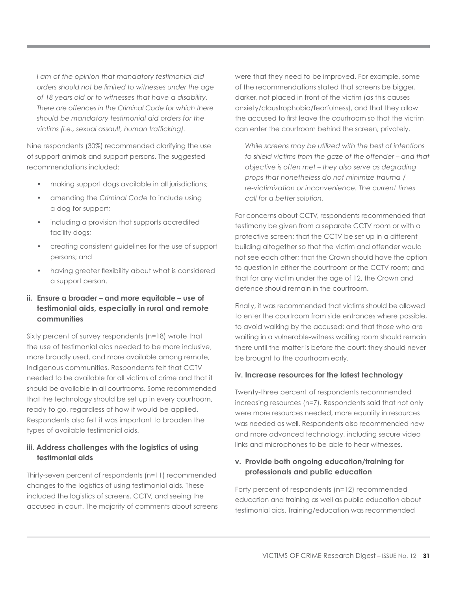*I am of the opinion that mandatory testimonial aid orders should not be limited to witnesses under the age of 18 years old or to witnesses that have a disability. There are offences in the Criminal Code for which there should be mandatory testimonial aid orders for the victims (i.e., sexual assault, human trafficking).*

Nine respondents (30%) recommended clarifying the use of support animals and support persons. The suggested recommendations included:

- making support dogs available in all jurisdictions;
- amending the *Criminal Code* to include using a dog for support;
- including a provision that supports accredited facility dogs;
- creating consistent guidelines for the use of support persons; and
- having greater flexibility about what is considered a support person.

# **ii. Ensure a broader – and more equitable – use of testimonial aids, especially in rural and remote communities**

Sixty percent of survey respondents (n=18) wrote that the use of testimonial aids needed to be more inclusive, more broadly used, and more available among remote, Indigenous communities. Respondents felt that CCTV needed to be available for all victims of crime and that it should be available in all courtrooms. Some recommended that the technology should be set up in every courtroom, ready to go, regardless of how it would be applied. Respondents also felt it was important to broaden the types of available testimonial aids.

# **iii. Address challenges with the logistics of using testimonial aids**

Thirty-seven percent of respondents (n=11) recommended changes to the logistics of using testimonial aids. These included the logistics of screens, CCTV, and seeing the accused in court. The majority of comments about screens were that they need to be improved. For example, some of the recommendations stated that screens be bigger, darker, not placed in front of the victim (as this causes anxiety/claustrophobia/fearfulness), and that they allow the accused to first leave the courtroom so that the victim can enter the courtroom behind the screen, privately.

*While screens may be utilized with the best of intentions to shield victims from the gaze of the offender – and that objective is often met – they also serve as degrading props that nonetheless do not minimize trauma / re-victimization or inconvenience. The current times call for a better solution.*

For concerns about CCTV, respondents recommended that testimony be given from a separate CCTV room or with a protective screen; that the CCTV be set up in a different building altogether so that the victim and offender would not see each other; that the Crown should have the option to question in either the courtroom or the CCTV room; and that for any victim under the age of 12, the Crown and defence should remain in the courtroom.

Finally, it was recommended that victims should be allowed to enter the courtroom from side entrances where possible, to avoid walking by the accused; and that those who are waiting in a vulnerable-witness waiting room should remain there until the matter is before the court; they should never be brought to the courtroom early.

# **iv. Increase resources for the latest technology**

Twenty-three percent of respondents recommended increasing resources (n=7). Respondents said that not only were more resources needed, more equality in resources was needed as well. Respondents also recommended new and more advanced technology, including secure video links and microphones to be able to hear witnesses.

# **v. Provide both ongoing education/training for professionals and public education**

Forty percent of respondents (n=12) recommended education and training as well as public education about testimonial aids. Training/education was recommended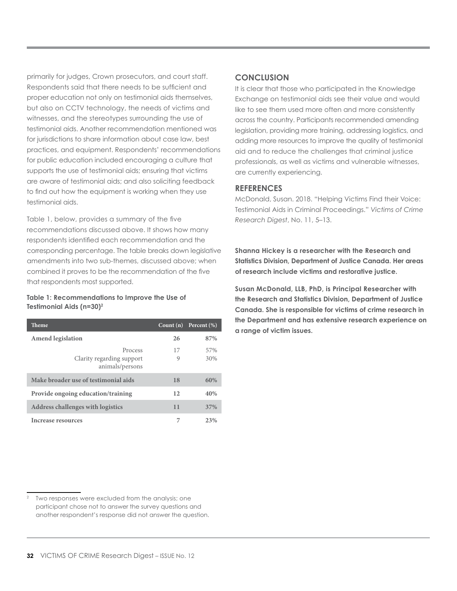primarily for judges, Crown prosecutors, and court staff. Respondents said that there needs to be sufficient and proper education not only on testimonial aids themselves, but also on CCTV technology, the needs of victims and witnesses, and the stereotypes surrounding the use of testimonial aids. Another recommendation mentioned was for jurisdictions to share information about case law, best practices, and equipment. Respondents' recommendations for public education included encouraging a culture that supports the use of testimonial aids; ensuring that victims are aware of testimonial aids; and also soliciting feedback to find out how the equipment is working when they use testimonial aids.

Table 1, below, provides a summary of the five recommendations discussed above. It shows how many respondents identified each recommendation and the corresponding percentage. The table breaks down legislative amendments into two sub-themes, discussed above; when combined it proves to be the recommendation of the five that respondents most supported.

#### **Table 1: Recommendations to Improve the Use of Testimonial Aids (n=30)2**

| <b>Theme</b>                                            | Count $(n)$ | Percent $(\%)$ |
|---------------------------------------------------------|-------------|----------------|
| <b>Amend legislation</b>                                | 26          | 87%            |
| Process<br>Clarity regarding support<br>animals/persons | 17<br>9     | 57%<br>30%     |
| Make broader use of testimonial aids                    | 18          | 60%            |
| Provide ongoing education/training                      | 12          | 40%            |
| <b>Address challenges with logistics</b>                | 11          | 37%            |
| Increase resources                                      | 7           | 23%            |

#### Two responses were excluded from the analysis; one participant chose not to answer the survey questions and another respondent's response did not answer the question.

# **CONCLUSION**

It is clear that those who participated in the Knowledge Exchange on testimonial aids see their value and would like to see them used more often and more consistently across the country. Participants recommended amending legislation, providing more training, addressing logistics, and adding more resources to improve the quality of testimonial aid and to reduce the challenges that criminal justice professionals, as well as victims and vulnerable witnesses, are currently experiencing.

#### **REFERENCES**

McDonald, Susan. 2018. "Helping Victims Find their Voice: Testimonial Aids in Criminal Proceedings." *Victims of Crime Research Digest*, No. 11, 5–13.

**Shanna Hickey is a researcher with the Research and Statistics Division, Department of Justice Canada. Her areas of research include victims and restorative justice.** 

**Susan McDonald, LLB, PhD, is Principal Researcher with the Research and Statistics Division, Department of Justice Canada. She is responsible for victims of crime research in the Department and has extensive research experience on a range of victim issues.**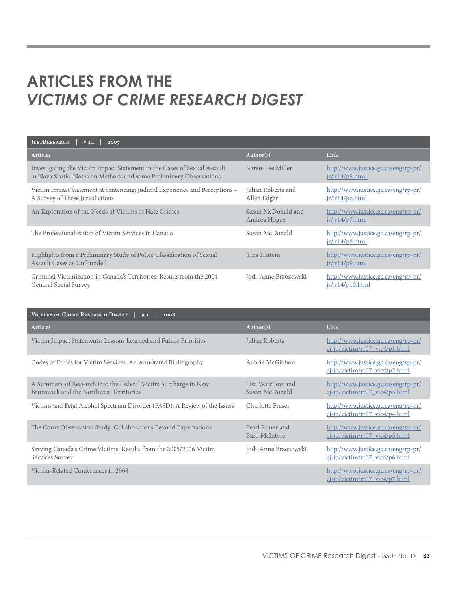# **ARTICLES FROM THE**  *VICTIMS OF CRIME RESEARCH DIGEST*

| <b>JUSTRESEARCH</b><br>#14<br>2007                                                                                                             |                                    |                                                                    |  |
|------------------------------------------------------------------------------------------------------------------------------------------------|------------------------------------|--------------------------------------------------------------------|--|
| <b>Articles</b>                                                                                                                                | Author(s)                          | Link                                                               |  |
| Investigating the Victim Impact Statement in the Cases of Sexual Assault<br>in Nova Scotia: Notes on Methods and some Preliminary Observations | Karen-Lee Miller                   | http://www.justice.gc.ca/eng/rp-pr/<br>$jr$ <sup>14</sup> /p5.html |  |
| Victim Impact Statement at Sentencing: Judicial Experience and Perceptions -<br>A Survey of Three Jurisdictions                                | Julian Roberts and<br>Allen Edgar  | http://www.justice.gc.ca/eng/rp-pr/<br>ir/ir14/p6.html             |  |
| An Exploration of the Needs of Victims of Hate Crimes                                                                                          | Susan McDonald and<br>Andrea Hogue | http://www.justice.gc.ca/eng/rp-pr/<br>$jr$ / $r$ 14/ $p$ 7.html   |  |
| The Professionalization of Victim Services in Canada                                                                                           | Susan McDonald                     | http://www.justice.gc.ca/eng/rp-pr/<br>ir/ir14/p8.html             |  |
| Highlights from a Preliminary Study of Police Classification of Sexual<br>Assault Cases as Unfounded                                           | Tina Hattem                        | http://www.justice.gc.ca/eng/rp-pr/<br>ir/ir14/p9.html             |  |
| Criminal Victimization in Canada's Territories: Results from the 2004<br>General Social Survey                                                 | Jodi-Anne Brzozowski               | http://www.justice.gc.ca/eng/rp-pr/<br>ir/ir14/p10.html            |  |

| VICTIMS OF CRIME RESEARCH DIGEST<br>2008<br>#1                                                            |                                     |                                                                          |  |
|-----------------------------------------------------------------------------------------------------------|-------------------------------------|--------------------------------------------------------------------------|--|
| <b>Articles</b>                                                                                           | Author(s)                           | Link                                                                     |  |
| Victim Impact Statements: Lessons Learned and Future Priorities                                           | Julian Roberts                      | http://www.justice.gc.ca/eng/rp-pr/<br>cj-jp/victim/rr07_vic4/p1.html    |  |
| Codes of Ethics for Victim Services: An Annotated Bibliography                                            | Aubrie McGibbon                     | http://www.justice.gc.ca/eng/rp-pr/<br>cj-jp/victim/rr07_vic4/p2.html    |  |
| A Summary of Research into the Federal Victim Surcharge in New<br>Brunswick and the Northwest Territories | Lisa Warrilow and<br>Susan McDonald | http://www.justice.gc.ca/eng/rp-pr/<br>cj-jp/victim/rr07_vic4/p3.html    |  |
| Victims and Fetal Alcohol Spectrum Disorder (FASD): A Review of the Issues                                | Charlotte Fraser                    | http://www.justice.gc.ca/eng/rp-pr/<br>$ci$ -jp/victim/rr07 vic4/p4.html |  |
| The Court Observation Study: Collaborations Beyond Expectations                                           | Pearl Rimer and<br>Barb McIntyre    | http://www.justice.gc.ca/eng/rp-pr/<br>cj-jp/victim/rr07_vic4/p5.html    |  |
| Serving Canada's Crime Victims: Results from the 2005/2006 Victim<br>Services Survey                      | Jodi-Anne Brzozowski                | http://www.justice.gc.ca/eng/rp-pr/<br>cj-jp/victim/rr07_vic4/p6.html    |  |
| Victim-Related Conferences in 2008                                                                        |                                     | http://www.justice.gc.ca/eng/rp-pr/<br>cj-jp/victim/rr07_vic4/p7.html    |  |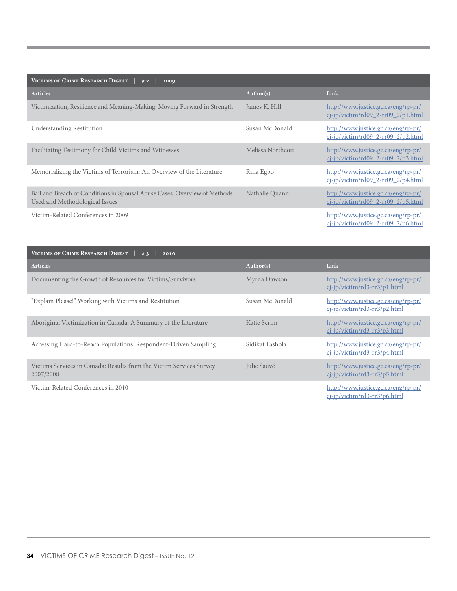| VICTIMS OF CRIME RESEARCH DIGEST<br>#2<br>2009                                                              |                   |                                                                              |  |
|-------------------------------------------------------------------------------------------------------------|-------------------|------------------------------------------------------------------------------|--|
| <b>Articles</b>                                                                                             | Author(s)         | Link                                                                         |  |
| Victimization, Resilience and Meaning-Making: Moving Forward in Strength                                    | James K. Hill     | http://www.justice.gc.ca/eng/rp-pr/<br>$ci-ip/victim/rd09$ 2-rr09 2/p1.html  |  |
| <b>Understanding Restitution</b>                                                                            | Susan McDonald    | http://www.justice.gc.ca/eng/rp-pr/<br>cj-jp/victim/rd09_2-rr09_2/p2.html    |  |
| Facilitating Testimony for Child Victims and Witnesses                                                      | Melissa Northcott | http://www.justice.gc.ca/eng/rp-pr/<br>$ci$ -jp/victim/rd09 2-rr09 2/p3.html |  |
| Memorializing the Victims of Terrorism: An Overview of the Literature                                       | Rina Egbo         | http://www.justice.gc.ca/eng/rp-pr/<br>$ci$ -jp/victim/rd09_2-rr09_2/p4.html |  |
| Bail and Breach of Conditions in Spousal Abuse Cases: Overview of Methods<br>Used and Methodological Issues | Nathalie Quann    | http://www.justice.gc.ca/eng/rp-pr/<br>$ci-ip/victim/rd09$ 2-rr09 2/p5.html  |  |
| Victim-Related Conferences in 2009                                                                          |                   | http://www.justice.gc.ca/eng/rp-pr/<br>ci-jp/victim/rd09_2-rr09_2/p6.html    |  |

| VICTIMS OF CRIME RESEARCH DIGEST<br>2010<br>#3                                   |                 |                                                                        |  |
|----------------------------------------------------------------------------------|-----------------|------------------------------------------------------------------------|--|
| <b>Articles</b>                                                                  | Author(s)       | Link                                                                   |  |
| Documenting the Growth of Resources for Victims/Survivors                        | Myrna Dawson    | http://www.justice.gc.ca/eng/rp-pr/<br>$ci$ -jp/victim/rd3-rr3/p1.html |  |
| "Explain Please!" Working with Victims and Restitution                           | Susan McDonald  | http://www.justice.gc.ca/eng/rp-pr/<br>cj-jp/victim/rd3-rr3/p2.html    |  |
| Aboriginal Victimization in Canada: A Summary of the Literature                  | Katie Scrim     | http://www.justice.gc.ca/eng/rp-pr/<br>$ci$ -jp/victim/rd3-rr3/p3.html |  |
| Accessing Hard-to-Reach Populations: Respondent-Driven Sampling                  | Sidikat Fashola | http://www.justice.gc.ca/eng/rp-pr/<br>cj-jp/victim/rd3-rr3/p4.html    |  |
| Victims Services in Canada: Results from the Victim Services Survey<br>2007/2008 | Julie Sauvé     | http://www.justice.gc.ca/eng/rp-pr/<br>cj-jp/victim/rd3-rr3/p5.html    |  |
| Victim-Related Conferences in 2010                                               |                 | http://www.justice.gc.ca/eng/rp-pr/<br>cj-jp/victim/rd3-rr3/p6.html    |  |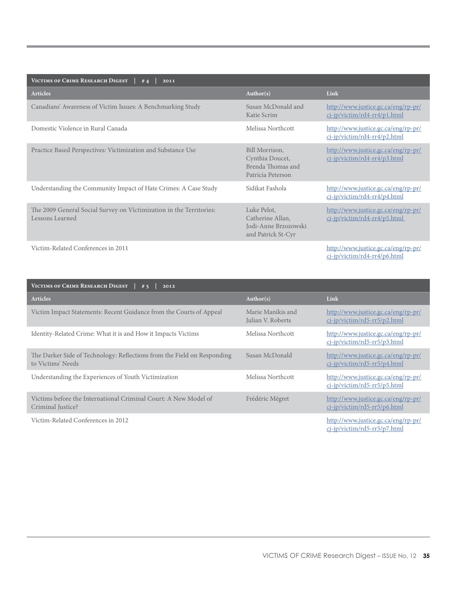| VICTIMS OF CRIME RESEARCH DIGEST<br>#4<br>2011                                         |                                                                               |                                                                     |  |
|----------------------------------------------------------------------------------------|-------------------------------------------------------------------------------|---------------------------------------------------------------------|--|
| <b>Articles</b>                                                                        | Author(s)                                                                     | Link                                                                |  |
| Canadians' Awareness of Victim Issues: A Benchmarking Study                            | Susan McDonald and<br>Katie Scrim                                             | http://www.justice.gc.ca/eng/rp-pr/<br>cj-jp/victim/rd4-rr4/p1.html |  |
| Domestic Violence in Rural Canada                                                      | Melissa Northcott                                                             | http://www.justice.gc.ca/eng/rp-pr/<br>cj-jp/victim/rd4-rr4/p2.html |  |
| Practice Based Perspectives: Victimization and Substance Use                           | Bill Morrison,<br>Cynthia Doucet,<br>Brenda Thomas and<br>Patricia Peterson   | http://www.justice.gc.ca/eng/rp-pr/<br>cj-jp/victim/rd4-rr4/p3.html |  |
| Understanding the Community Impact of Hate Crimes: A Case Study                        | Sidikat Fashola                                                               | http://www.justice.gc.ca/eng/rp-pr/<br>cj-jp/victim/rd4-rr4/p4.html |  |
| The 2009 General Social Survey on Victimization in the Territories:<br>Lessons Learned | Luke Pelot,<br>Catherine Allan,<br>Jodi-Anne Brzozowski<br>and Patrick St-Cyr | http://www.justice.gc.ca/eng/rp-pr/<br>cj-jp/victim/rd4-rr4/p5.html |  |
| Victim-Related Conferences in 2011                                                     |                                                                               | http://www.justice.gc.ca/eng/rp-pr/<br>cj-jp/victim/rd4-rr4/p6.html |  |

| VICTIMS OF CRIME RESEARCH DIGEST<br>#5<br>2012                                               |                                        |                                                                        |  |
|----------------------------------------------------------------------------------------------|----------------------------------------|------------------------------------------------------------------------|--|
| <b>Articles</b>                                                                              | Author(s)                              | Link                                                                   |  |
| Victim Impact Statements: Recent Guidance from the Courts of Appeal                          | Marie Manikis and<br>Julian V. Roberts | http://www.justice.gc.ca/eng/rp-pr/<br>ci-jp/victim/rd5-rr5/p2.html    |  |
| Identity-Related Crime: What it is and How it Impacts Victims                                | Melissa Northcott                      | http://www.justice.gc.ca/eng/rp-pr/<br>cj-jp/victim/rd5-rr5/p3.html    |  |
| The Darker Side of Technology: Reflections from the Field on Responding<br>to Victims' Needs | Susan McDonald                         | http://www.justice.gc.ca/eng/rp-pr/<br>cj-jp/victim/rd5-rr5/p4.html    |  |
| Understanding the Experiences of Youth Victimization                                         | Melissa Northcott                      | http://www.justice.gc.ca/eng/rp-pr/<br>cj-jp/victim/rd5-rr5/p5.html    |  |
| Victims before the International Criminal Court: A New Model of<br>Criminal Justice?         | Frédéric Mégret                        | http://www.justice.gc.ca/eng/rp-pr/<br>cj-jp/victim/rd5-rr5/p6.html    |  |
| Victim-Related Conferences in 2012                                                           |                                        | http://www.justice.gc.ca/eng/rp-pr/<br>$ci$ -ip/victim/rd5-rr5/p7.html |  |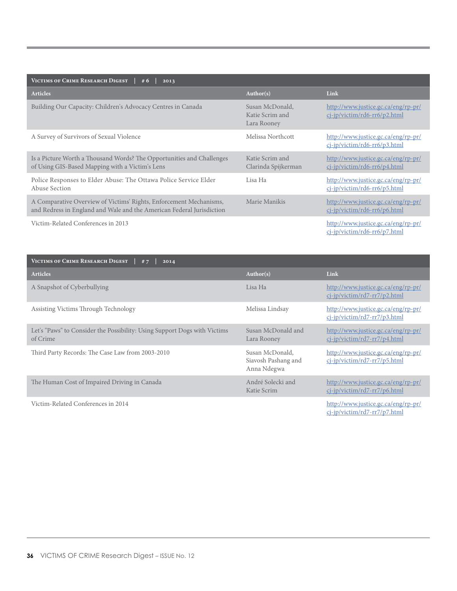| VICTIMS OF CRIME RESEARCH DIGEST<br>#6<br>2013                                                                                              |                                                   |                                                                        |  |
|---------------------------------------------------------------------------------------------------------------------------------------------|---------------------------------------------------|------------------------------------------------------------------------|--|
| Articles                                                                                                                                    | Author(s)                                         | Link                                                                   |  |
| Building Our Capacity: Children's Advocacy Centres in Canada                                                                                | Susan McDonald,<br>Katie Scrim and<br>Lara Rooney | http://www.justice.gc.ca/eng/rp-pr/<br>$ci$ -ip/victim/rd6-rr6/p2.html |  |
| A Survey of Survivors of Sexual Violence                                                                                                    | Melissa Northcott                                 | http://www.justice.gc.ca/eng/rp-pr/<br>cj-jp/victim/rd6-rr6/p3.html    |  |
| Is a Picture Worth a Thousand Words? The Opportunities and Challenges<br>of Using GIS-Based Mapping with a Victim's Lens                    | Katie Scrim and<br>Clarinda Spijkerman            | http://www.justice.gc.ca/eng/rp-pr/<br>cj-jp/victim/rd6-rr6/p4.html    |  |
| Police Responses to Elder Abuse: The Ottawa Police Service Elder<br>Abuse Section                                                           | Lisa Ha                                           | http://www.justice.gc.ca/eng/rp-pr/<br>cj-jp/victim/rd6-rr6/p5.html    |  |
| A Comparative Overview of Victims' Rights, Enforcement Mechanisms,<br>and Redress in England and Wale and the American Federal Jurisdiction | Marie Manikis                                     | http://www.justice.gc.ca/eng/rp-pr/<br>cj-jp/victim/rd6-rr6/p6.html    |  |
| Victim-Related Conferences in 2013                                                                                                          |                                                   | http://www.justice.gc.ca/eng/rp-pr/<br>cj-jp/victim/rd6-rr6/p7.html    |  |

| VICTIMS OF CRIME RESEARCH DIGEST<br>#7<br>2014                                        |                                                       |                                                                     |  |
|---------------------------------------------------------------------------------------|-------------------------------------------------------|---------------------------------------------------------------------|--|
| <b>Articles</b>                                                                       | Author(s)                                             | Link                                                                |  |
| A Snapshot of Cyberbullying                                                           | Lisa Ha                                               | http://www.justice.gc.ca/eng/rp-pr/<br>cj-jp/victim/rd7-rr7/p2.html |  |
| Assisting Victims Through Technology                                                  | Melissa Lindsay                                       | http://www.justice.gc.ca/eng/rp-pr/<br>cj-jp/victim/rd7-rr7/p3.html |  |
| Let's "Paws" to Consider the Possibility: Using Support Dogs with Victims<br>of Crime | Susan McDonald and<br>Lara Rooney                     | http://www.justice.gc.ca/eng/rp-pr/<br>cj-jp/victim/rd7-rr7/p4.html |  |
| Third Party Records: The Case Law from 2003-2010                                      | Susan McDonald,<br>Siavosh Pashang and<br>Anna Ndegwa | http://www.justice.gc.ca/eng/rp-pr/<br>cj-jp/victim/rd7-rr7/p5.html |  |
| The Human Cost of Impaired Driving in Canada                                          | André Solecki and<br>Katie Scrim                      | http://www.justice.gc.ca/eng/rp-pr/<br>cj-jp/victim/rd7-rr7/p6.html |  |
| Victim-Related Conferences in 2014                                                    |                                                       | http://www.justice.gc.ca/eng/rp-pr/<br>ci-jp/victim/rd7-rr7/p7.html |  |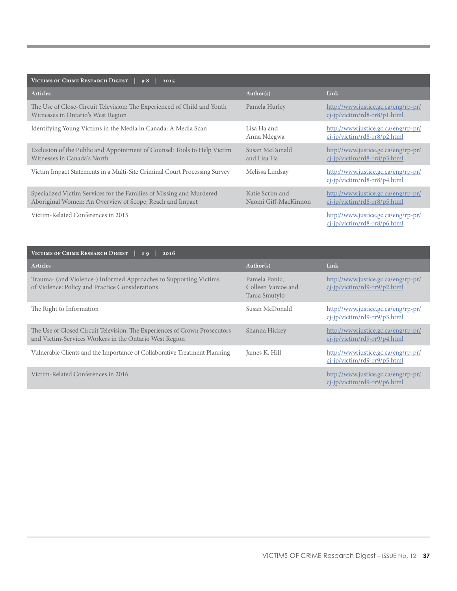| VICTIMS OF CRIME RESEARCH DIGEST<br># $8$<br>2015                                                                                |                                         |                                                                        |  |
|----------------------------------------------------------------------------------------------------------------------------------|-----------------------------------------|------------------------------------------------------------------------|--|
| <b>Articles</b>                                                                                                                  | Author(s)                               | Link                                                                   |  |
| The Use of Close-Circuit Television: The Experienced of Child and Youth<br>Witnesses in Ontario's West Region                    | Pamela Hurley                           | http://www.justice.gc.ca/eng/rp-pr/<br>$ci$ -ip/victim/rd8-rr8/p1.html |  |
| Identifying Young Victims in the Media in Canada: A Media Scan                                                                   | Lisa Ha and<br>Anna Ndegwa              | http://www.justice.gc.ca/eng/rp-pr/<br>cj-jp/victim/rd8-rr8/p2.html    |  |
| Exclusion of the Public and Appointment of Counsel: Tools to Help Victim<br>Witnesses in Canada's North                          | Susan McDonald<br>and Lisa Ha           | http://www.justice.gc.ca/eng/rp-pr/<br>cj-jp/victim/rd8-rr8/p3.html    |  |
| Victim Impact Statements in a Multi-Site Criminal Court Processing Survey                                                        | Melissa Lindsay                         | http://www.justice.gc.ca/eng/rp-pr/<br>ci-jp/victim/rd8-rr8/p4.html    |  |
| Specialized Victim Services for the Families of Missing and Murdered<br>Aboriginal Women: An Overview of Scope, Reach and Impact | Katie Scrim and<br>Naomi Giff-MacKinnon | http://www.justice.gc.ca/eng/rp-pr/<br>cj-jp/victim/rd8-rr8/p5.html    |  |
| Victim-Related Conferences in 2015                                                                                               |                                         | http://www.justice.gc.ca/eng/rp-pr/<br>cj-jp/victim/rd8-rr8/p6.html    |  |

| VICTIMS OF CRIME RESEARCH DIGEST<br>#9<br>2016                                                                                       |                                                      |                                                                     |  |
|--------------------------------------------------------------------------------------------------------------------------------------|------------------------------------------------------|---------------------------------------------------------------------|--|
| <b>Articles</b>                                                                                                                      | Author(s)                                            | Link                                                                |  |
| Trauma- (and Violence-) Informed Approaches to Supporting Victims<br>of Violence: Policy and Practice Considerations                 | Pamela Ponic,<br>Colleen Varcoe and<br>Tania Smutylo | http://www.justice.gc.ca/eng/rp-pr/<br>cj-jp/victim/rd9-rr9/p2.html |  |
| The Right to Information                                                                                                             | Susan McDonald                                       | http://www.justice.gc.ca/eng/rp-pr/<br>cj-jp/victim/rd9-rr9/p3.html |  |
| The Use of Closed Circuit Television: The Experiences of Crown Prosecutors<br>and Victim-Services Workers in the Ontario West Region | Shanna Hickey                                        | http://www.justice.gc.ca/eng/rp-pr/<br>cj-jp/victim/rd9-rr9/p4.html |  |
| Vulnerable Clients and the Importance of Collaborative Treatment Planning                                                            | James K. Hill                                        | http://www.justice.gc.ca/eng/rp-pr/<br>cj-jp/victim/rd9-rr9/p5.html |  |
| Victim-Related Conferences in 2016                                                                                                   |                                                      | http://www.justice.gc.ca/eng/rp-pr/<br>cj-jp/victim/rd9-rr9/p6.html |  |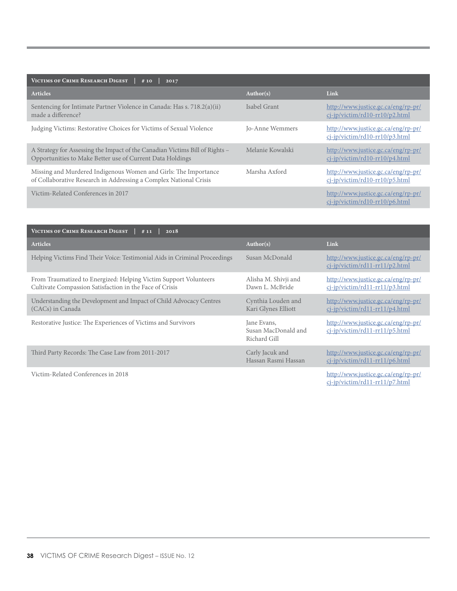| VICTIMS OF CRIME RESEARCH DIGEST<br>2017<br>#10                                                                                           |                  |                                                                          |  |
|-------------------------------------------------------------------------------------------------------------------------------------------|------------------|--------------------------------------------------------------------------|--|
| <b>Articles</b>                                                                                                                           | Author(s)        | Link                                                                     |  |
| Sentencing for Intimate Partner Violence in Canada: Has s. 718.2(a)(ii)<br>made a difference?                                             | Isabel Grant     | http://www.justice.gc.ca/eng/rp-pr/<br>$ci$ -ip/victim/rd10-rr10/p2.html |  |
| Judging Victims: Restorative Choices for Victims of Sexual Violence                                                                       | Jo-Anne Wemmers  | http://www.justice.gc.ca/eng/rp-pr/<br>$ci$ -jp/victim/rd10-rr10/p3.html |  |
| A Strategy for Assessing the Impact of the Canadian Victims Bill of Rights –<br>Opportunities to Make Better use of Current Data Holdings | Melanie Kowalski | http://www.justice.gc.ca/eng/rp-pr/<br>$ci$ -ip/victim/rd10-rr10/p4.html |  |
| Missing and Murdered Indigenous Women and Girls: The Importance<br>of Collaborative Research in Addressing a Complex National Crisis      | Marsha Axford    | http://www.justice.gc.ca/eng/rp-pr/<br>$ci$ -jp/victim/rd10-rr10/p5.html |  |
| Victim-Related Conferences in 2017                                                                                                        |                  | http://www.justice.gc.ca/eng/rp-pr/<br>$ci$ -jp/victim/rd10-rr10/p6.html |  |

| VICTIMS OF CRIME RESEARCH DIGEST<br>2018<br>#11                                                                             |                                                    |                                                                       |  |
|-----------------------------------------------------------------------------------------------------------------------------|----------------------------------------------------|-----------------------------------------------------------------------|--|
| <b>Articles</b>                                                                                                             | Author(s)                                          | Link                                                                  |  |
| Helping Victims Find Their Voice: Testimonial Aids in Criminal Proceedings                                                  | Susan McDonald                                     | http://www.justice.gc.ca/eng/rp-pr/<br>cj-jp/victim/rd11-rr11/p2.html |  |
| From Traumatized to Energized: Helping Victim Support Volunteers<br>Cultivate Compassion Satisfaction in the Face of Crisis | Alisha M. Shivji and<br>Dawn L. McBride            | http://www.justice.gc.ca/eng/rp-pr/<br>cj-jp/victim/rd11-rr11/p3.html |  |
| Understanding the Development and Impact of Child Advocacy Centres<br>(CACs) in Canada                                      | Cynthia Louden and<br>Kari Glynes Elliott          | http://www.justice.gc.ca/eng/rp-pr/<br>cj-jp/victim/rd11-rr11/p4.html |  |
| Restorative Justice: The Experiences of Victims and Survivors                                                               | Jane Evans,<br>Susan MacDonald and<br>Richard Gill | http://www.justice.gc.ca/eng/rp-pr/<br>cj-jp/victim/rd11-rr11/p5.html |  |
| Third Party Records: The Case Law from 2011-2017                                                                            | Carly Jacuk and<br>Hassan Rasmi Hassan             | http://www.justice.gc.ca/eng/rp-pr/<br>cj-jp/victim/rd11-rr11/p6.html |  |
| Victim-Related Conferences in 2018                                                                                          |                                                    | http://www.justice.gc.ca/eng/rp-pr/<br>cj-jp/victim/rd11-rr11/p7.html |  |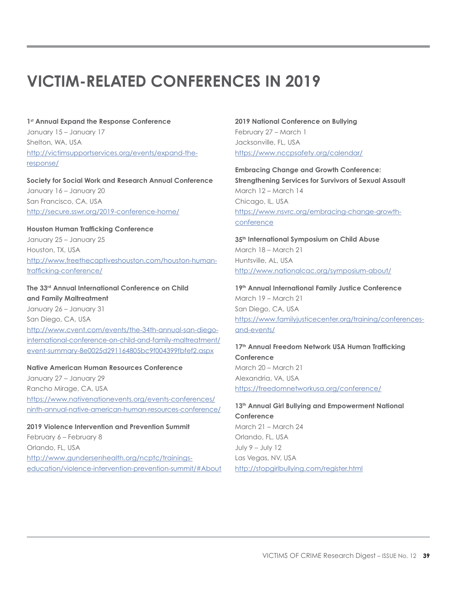# **VICTIM-RELATED CONFERENCES IN 2019**

#### **1st Annual Expand the Response Conference**

January 15 – January 17 Shelton, WA, USA [http://victimsupportservices.org/events/expand-the](http://victimsupportservices.org/events/expand-the-response/)[response/](http://victimsupportservices.org/events/expand-the-response/)

#### **Society for Social Work and Research Annual Conference** January 16 – January 20 San Francisco, CA, USA <http://secure.sswr.org/2019-conference-home/>

# **Houston Human Trafficking Conference** January 25 – January 25 Houston, TX, USA [http://www.freethecaptiveshouston.com/houston-human](http://www.freethecaptiveshouston.com/houston-human-trafficking-conference/)[trafficking-conference/](http://www.freethecaptiveshouston.com/houston-human-trafficking-conference/)

# **The 33rd Annual International Conference on Child and Family Maltreatment**

January 26 – January 31 San Diego, CA, USA [http://www.cvent.com/events/the-34th-annual-san-diego](http://www.cvent.com/events/the-34th-annual-san-diego-international-conference-on-child-and-family-maltreatment/event-summary-8e0025d291164805bc9f004399fbfef2.aspx)[international-conference-on-child-and-family-maltreatment/](http://www.cvent.com/events/the-34th-annual-san-diego-international-conference-on-child-and-family-maltreatment/event-summary-8e0025d291164805bc9f004399fbfef2.aspx) [event-summary-8e0025d291164805bc9f004399fbfef2.aspx](http://www.cvent.com/events/the-34th-annual-san-diego-international-conference-on-child-and-family-maltreatment/event-summary-8e0025d291164805bc9f004399fbfef2.aspx)

#### **Native American Human Resources Conference**

January 27 – January 29 Rancho Mirage, CA, USA [https://www.nativenationevents.org/events-conferences/](https://www.nativenationevents.org/events-conferences/ninth-annual-native-american-human-resources-conference/) [ninth-annual-native-american-human-resources-conference/](https://www.nativenationevents.org/events-conferences/ninth-annual-native-american-human-resources-conference/)

**2019 Violence Intervention and Prevention Summit** February 6 – February 8 Orlando, FL, USA [http://www.gundersenhealth.org/ncptc/trainings](http://www.gundersenhealth.org/ncptc/trainings-education/violence-intervention-prevention-summit/#About)[education/violence-intervention-prevention-summit/#About](http://www.gundersenhealth.org/ncptc/trainings-education/violence-intervention-prevention-summit/#About)

# **2019 National Conference on Bullying** February 27 – March 1 Jacksonville, FL, USA <https://www.nccpsafety.org/calendar/>

**Embracing Change and Growth Conference: Strengthening Services for Survivors of Sexual Assault**  March 12 – March 14 Chicago, IL, USA [https://www.nsvrc.org/embracing-change-growth](https://www.nsvrc.org/embracing-change-growth-conference)[conference](https://www.nsvrc.org/embracing-change-growth-conference)

**35th International Symposium on Child Abuse** March 18 – March 21 Huntsville, AL, USA <http://www.nationalcac.org/symposium-about/>

**19th Annual International Family Justice Conference** March 19 – March 21 San Diego, CA, USA [https://www.familyjusticecenter.org/training/conferences](https://www.familyjusticecenter.org/training/conferences-and-events/)[and-events/](https://www.familyjusticecenter.org/training/conferences-and-events/)

# 17<sup>th</sup> Annual Freedom Network USA Human Trafficking **Conference** March 20 – March 21 Alexandria, VA, USA <https://freedomnetworkusa.org/conference/>

13<sup>th</sup> Annual Girl Bullying and Empowerment National **Conference**  March 21 – March 24 Orlando, FL, USA July 9 – July 12 Las Vegas, NV, USA <http://stopgirlbullying.com/register.html>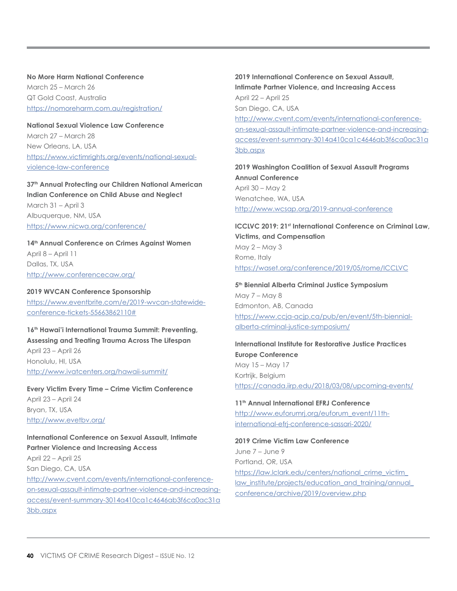**No More Harm National Conference**  March 25 – March 26 QT Gold Coast, Australia <https://nomoreharm.com.au/registration/>

# **National Sexual Violence Law Conference**  March 27 – March 28 New Orleans, LA, USA [https://www.victimrights.org/events/national-sexual](https://www.victimrights.org/events/national-sexual-violence-law-conference)[violence-law-conference](https://www.victimrights.org/events/national-sexual-violence-law-conference)

# **37th Annual Protecting our Children National American Indian Conference on Child Abuse and Neglect** March 31 – April 3 Albuquerque, NM, USA <https://www.nicwa.org/conference/>

# **14th Annual Conference on Crimes Against Women** April 8 – April 11 Dallas, TX, USA

<http://www.conferencecaw.org/> **2019 WVCAN Conference Sponsorship**

[https://www.eventbrite.com/e/2019-wvcan-statewide](https://www.eventbrite.com/e/2019-wvcan-statewide-conference-tickets-55663862110#)[conference-tickets-55663862110#](https://www.eventbrite.com/e/2019-wvcan-statewide-conference-tickets-55663862110#)

# **16th Hawai'i International Trauma Summit: Preventing, Assessing and Treating Trauma Across The Lifespan**  April 23 – April 26

Honolulu, HI, USA <http://www.ivatcenters.org/hawaii-summit/>

**Every Victim Every Time – Crime Victim Conference** April 23 – April 24 Bryan, TX, USA <http://www.evetbv.org/>

# **International Conference on Sexual Assault, Intimate Partner Violence and Increasing Access** April 22 – April 25 San Diego, CA, USA

[http://www.cvent.com/events/international-conference](http://www.cvent.com/events/international-conference-on-sexual-assault-intimate-partner-violence-and-increasing-access/event-summary-3014a410ca1c4646ab3f6ca0ac31a3bb.aspx)[on-sexual-assault-intimate-partner-violence-and-increasing](http://www.cvent.com/events/international-conference-on-sexual-assault-intimate-partner-violence-and-increasing-access/event-summary-3014a410ca1c4646ab3f6ca0ac31a3bb.aspx)[access/event-summary-3014a410ca1c4646ab3f6ca0ac31a](http://www.cvent.com/events/international-conference-on-sexual-assault-intimate-partner-violence-and-increasing-access/event-summary-3014a410ca1c4646ab3f6ca0ac31a3bb.aspx) [3bb.aspx](http://www.cvent.com/events/international-conference-on-sexual-assault-intimate-partner-violence-and-increasing-access/event-summary-3014a410ca1c4646ab3f6ca0ac31a3bb.aspx)

# **2019 International Conference on Sexual Assault, Intimate Partner Violence, and Increasing Access** April 22 – April 25 San Diego, CA, USA [http://www.cvent.com/events/international-conference](http://www.cvent.com/events/international-conference-on-sexual-assault-intimate-partner-violence-and-increasing-access/event-summary-3014a410ca1c4646ab3f6ca0ac31a3bb.aspx)[on-sexual-assault-intimate-partner-violence-and-increasing](http://www.cvent.com/events/international-conference-on-sexual-assault-intimate-partner-violence-and-increasing-access/event-summary-3014a410ca1c4646ab3f6ca0ac31a3bb.aspx)[access/event-summary-3014a410ca1c4646ab3f6ca0ac31a](http://www.cvent.com/events/international-conference-on-sexual-assault-intimate-partner-violence-and-increasing-access/event-summary-3014a410ca1c4646ab3f6ca0ac31a3bb.aspx) [3bb.aspx](http://www.cvent.com/events/international-conference-on-sexual-assault-intimate-partner-violence-and-increasing-access/event-summary-3014a410ca1c4646ab3f6ca0ac31a3bb.aspx)

**2019 Washington Coalition of Sexual Assault Programs Annual Conference**  April 30 – May 2 Wenatchee, WA, USA <http://www.wcsap.org/2019-annual-conference>

#### **ICCLVC 2019: 21st International Conference on Criminal Law, Victims, and Compensation** May 2 – May 3 Rome, Italy

<https://waset.org/conference/2019/05/rome/ICCLVC>

#### **5th Biennial Alberta Criminal Justice Symposium** May 7 – May 8 Edmonton, AB, Canada [https://www.ccja-acjp.ca/pub/en/event/5th-biennial](https://www.ccja-acjp.ca/pub/en/event/5th-biennial-alberta-criminal-justice-symposium/)[alberta-criminal-justice-symposium/](https://www.ccja-acjp.ca/pub/en/event/5th-biennial-alberta-criminal-justice-symposium/)

# **International Institute for Restorative Justice Practices Europe Conference** May 15 – May 17 Kortrijk, Belgium <https://canada.iirp.edu/2018/03/08/upcoming-events/>

**11th Annual International EFRJ Conference** [http://www.euforumrj.org/euforum\\_event/11th](http://www.euforumrj.org/euforum_event/11th-international-efrj-conference-sassari-2020/)[international-efrj-conference-sassari-2020/](http://www.euforumrj.org/euforum_event/11th-international-efrj-conference-sassari-2020/)

# **2019 Crime Victim Law Conference** June 7 – June 9 Portland, OR, USA [https://law.lclark.edu/centers/national\\_crime\\_victim\\_](https://law.lclark.edu/centers/national_crime_victim_law_institute/projects/education_and_training/annual_conference/archive/2019/overview.php) [law\\_institute/projects/education\\_and\\_training/annual\\_](https://law.lclark.edu/centers/national_crime_victim_law_institute/projects/education_and_training/annual_conference/archive/2019/overview.php) [conference/archive/2019/overview.php](https://law.lclark.edu/centers/national_crime_victim_law_institute/projects/education_and_training/annual_conference/archive/2019/overview.php)